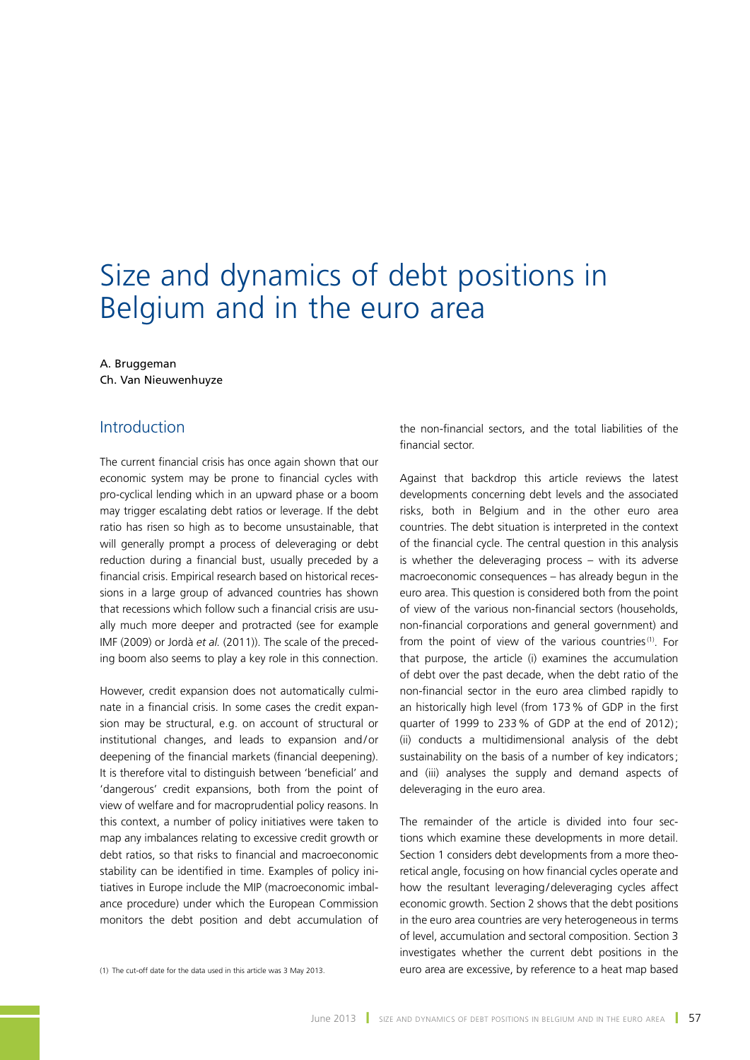# Size and dynamics of debt positions in Belgium and in the euro area

#### A. Bruggeman Ch. Van Nieuwenhuyze

# Introduction

The current financial crisis has once again shown that our economic system may be prone to financial cycles with pro-cyclical lending which in an upward phase or a boom may trigger escalating debt ratios or leverage. If the debt ratio has risen so high as to become unsustainable, that will generally prompt a process of deleveraging or debt reduction during a financial bust, usually preceded by a financial crisis. Empirical research based on historical recessions in a large group of advanced countries has shown that recessions which follow such a financial crisis are usually much more deeper and protracted (see for example IMF (2009) or Jordà *et al.* (2011)). The scale of the preceding boom also seems to play a key role in this connection.

However, credit expansion does not automatically culminate in a financial crisis. In some cases the credit expansion may be structural, e.g. on account of structural or institutional changes, and leads to expansion and/or deepening of the financial markets (financial deepening). It is therefore vital to distinguish between 'beneficial' and 'dangerous' credit expansions, both from the point of view of welfare and for macroprudential policy reasons. In this context, a number of policy initiatives were taken to map any imbalances relating to excessive credit growth or debt ratios, so that risks to financial and macroeconomic stability can be identified in time. Examples of policy initiatives in Europe include the MIP (macroeconomic imbalance procedure) under which the European Commission monitors the debt position and debt accumulation of

the non-financial sectors, and the total liabilities of the financial sector.

Against that backdrop this article reviews the latest developments concerning debt levels and the associated risks, both in Belgium and in the other euro area countries. The debt situation is interpreted in the context of the financial cycle. The central question in this analysis is whether the deleveraging process – with its adverse macroeconomic consequences – has already begun in the euro area. This question is considered both from the point of view of the various non-financial sectors (households, non-financial corporations and general government) and from the point of view of the various countries<sup>(1)</sup>. For that purpose, the article (i) examines the accumulation of debt over the past decade, when the debt ratio of the non-financial sector in the euro area climbed rapidly to an historically high level (from 173% of GDP in the first quarter of 1999 to 233% of GDP at the end of 2012); (ii) conducts a multidimensional analysis of the debt sustainability on the basis of a number of key indicators; and (iii) analyses the supply and demand aspects of deleveraging in the euro area.

The remainder of the article is divided into four sections which examine these developments in more detail. Section 1 considers debt developments from a more theoretical angle, focusing on how financial cycles operate and how the resultant leveraging/deleveraging cycles affect economic growth. Section 2 shows that the debt positions in the euro area countries are very heterogeneous in terms of level, accumulation and sectoral composition. Section 3 investigates whether the current debt positions in the (1) The cut-off date for the data used in this article was 3 May 2013. euro area are excessive, by reference to a heat map based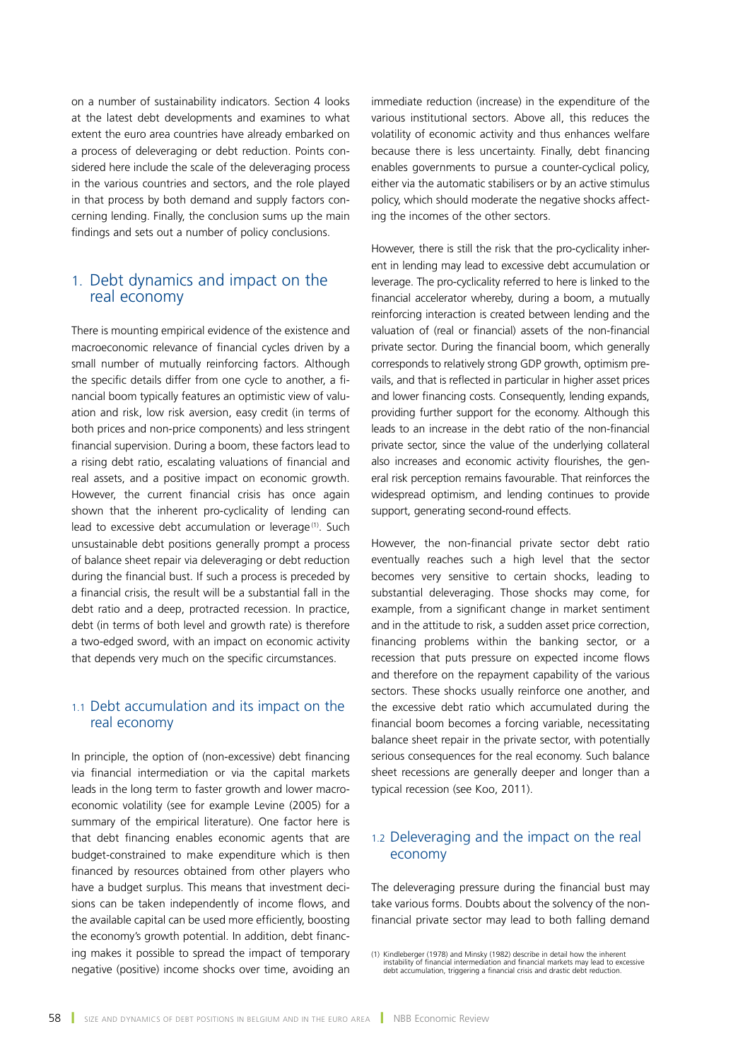on a number of sustainability indicators. Section 4 looks at the latest debt developments and examines to what extent the euro area countries have already embarked on a process of deleveraging or debt reduction. Points considered here include the scale of the deleveraging process in the various countries and sectors, and the role played in that process by both demand and supply factors concerning lending. Finally, the conclusion sums up the main findings and sets out a number of policy conclusions.

# 1. Debt dynamics and impact on the real economy

There is mounting empirical evidence of the existence and macroeconomic relevance of financial cycles driven by a small number of mutually reinforcing factors. Although the specific details differ from one cycle to another, a financial boom typically features an optimistic view of valuation and risk, low risk aversion, easy credit (in terms of both prices and non-price components) and less stringent financial supervision. During a boom, these factors lead to a rising debt ratio, escalating valuations of financial and real assets, and a positive impact on economic growth. However, the current financial crisis has once again shown that the inherent pro-cyclicality of lending can lead to excessive debt accumulation or leverage<sup>(1)</sup>. Such unsustainable debt positions generally prompt a process of balance sheet repair via deleveraging or debt reduction during the financial bust. If such a process is preceded by a financial crisis, the result will be a substantial fall in the debt ratio and a deep, protracted recession. In practice, debt (in terms of both level and growth rate) is therefore a two-edged sword, with an impact on economic activity that depends very much on the specific circumstances.

# 1.1 Debt accumulation and its impact on the real economy

In principle, the option of (non-excessive) debt financing via financial intermediation or via the capital markets leads in the long term to faster growth and lower macroeconomic volatility (see for example Levine (2005) for a summary of the empirical literature). One factor here is that debt financing enables economic agents that are budget-constrained to make expenditure which is then financed by resources obtained from other players who have a budget surplus. This means that investment decisions can be taken independently of income flows, and the available capital can be used more efficiently, boosting the economy's growth potential. In addition, debt financing makes it possible to spread the impact of temporary negative (positive) income shocks over time, avoiding an

immediate reduction (increase) in the expenditure of the various institutional sectors. Above all, this reduces the volatility of economic activity and thus enhances welfare because there is less uncertainty. Finally, debt financing enables governments to pursue a counter-cyclical policy, either via the automatic stabilisers or by an active stimulus policy, which should moderate the negative shocks affecting the incomes of the other sectors.

However, there is still the risk that the pro-cyclicality inherent in lending may lead to excessive debt accumulation or leverage. The pro-cyclicality referred to here is linked to the financial accelerator whereby, during a boom, a mutually reinforcing interaction is created between lending and the valuation of (real or financial) assets of the non-financial private sector. During the financial boom, which generally corresponds to relatively strong GDP growth, optimism prevails, and that is reflected in particular in higher asset prices and lower financing costs. Consequently, lending expands, providing further support for the economy. Although this leads to an increase in the debt ratio of the non-financial private sector, since the value of the underlying collateral also increases and economic activity flourishes, the general risk perception remains favourable. That reinforces the widespread optimism, and lending continues to provide support, generating second-round effects.

However, the non-financial private sector debt ratio eventually reaches such a high level that the sector becomes very sensitive to certain shocks, leading to substantial deleveraging. Those shocks may come, for example, from a significant change in market sentiment and in the attitude to risk, a sudden asset price correction, financing problems within the banking sector, or a recession that puts pressure on expected income flows and therefore on the repayment capability of the various sectors. These shocks usually reinforce one another, and the excessive debt ratio which accumulated during the financial boom becomes a forcing variable, necessitating balance sheet repair in the private sector, with potentially serious consequences for the real economy. Such balance sheet recessions are generally deeper and longer than a typical recession (see Koo, 2011).

# 1.2 Deleveraging and the impact on the real economy

The deleveraging pressure during the financial bust may take various forms. Doubts about the solvency of the nonfinancial private sector may lead to both falling demand

<sup>(1)</sup> Kindleberger (1978) and Minsky (1982) describe in detail how the inherent instability of financial intermediation and financial markets may lead to excessive debt accumulation, triggering a financial crisis and drastic debt reduction.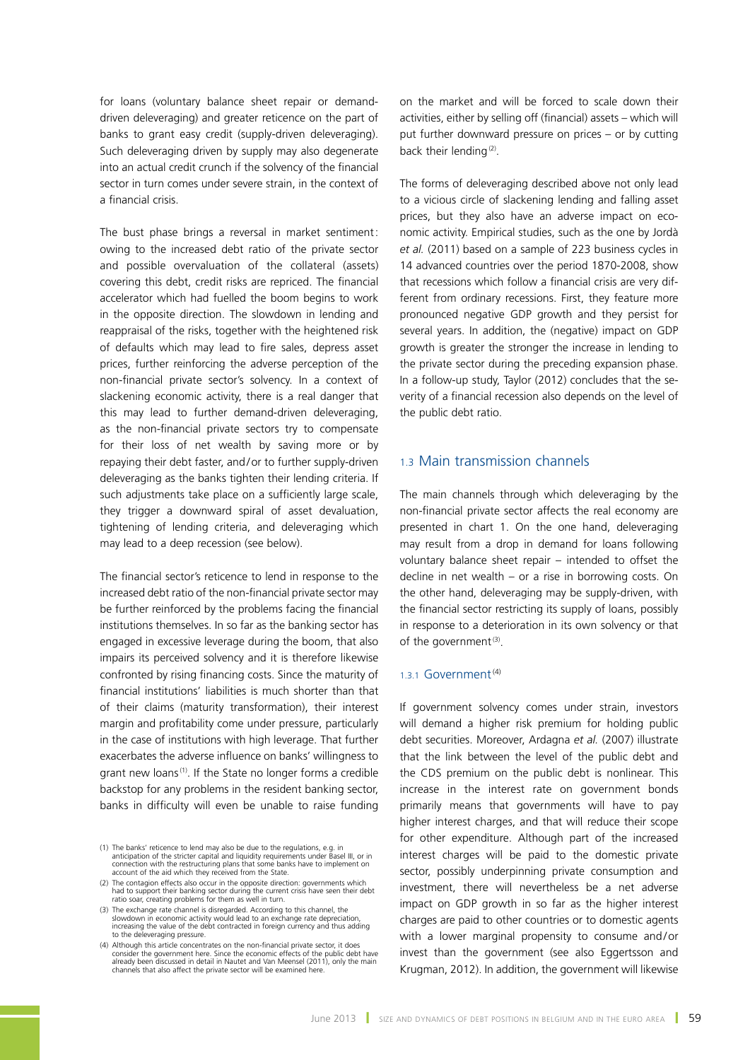for loans (voluntary balance sheet repair or demanddriven deleveraging) and greater reticence on the part of banks to grant easy credit (supply-driven deleveraging). Such deleveraging driven by supply may also degenerate into an actual credit crunch if the solvency of the financial sector in turn comes under severe strain, in the context of a financial crisis.

The bust phase brings a reversal in market sentiment: owing to the increased debt ratio of the private sector and possible overvaluation of the collateral (assets) covering this debt, credit risks are repriced. The financial accelerator which had fuelled the boom begins to work in the opposite direction. The slowdown in lending and reappraisal of the risks, together with the heightened risk of defaults which may lead to fire sales, depress asset prices, further reinforcing the adverse perception of the non-financial private sector's solvency. In a context of slackening economic activity, there is a real danger that this may lead to further demand-driven deleveraging, as the non-financial private sectors try to compensate for their loss of net wealth by saving more or by repaying their debt faster, and/or to further supply-driven deleveraging as the banks tighten their lending criteria. If such adjustments take place on a sufficiently large scale, they trigger a downward spiral of asset devaluation, tightening of lending criteria, and deleveraging which may lead to a deep recession (see below).

The financial sector's reticence to lend in response to the increased debt ratio of the non-financial private sector may be further reinforced by the problems facing the financial institutions themselves. In so far as the banking sector has engaged in excessive leverage during the boom, that also impairs its perceived solvency and it is therefore likewise confronted by rising financing costs. Since the maturity of financial institutions' liabilities is much shorter than that of their claims (maturity transformation), their interest margin and profitability come under pressure, particularly in the case of institutions with high leverage. That further exacerbates the adverse influence on banks' willingness to grant new loans<sup>(1)</sup>. If the State no longer forms a credible backstop for any problems in the resident banking sector, banks in difficulty will even be unable to raise funding

- (2) The contagion effects also occur in the opposite direction: governments which had to support their banking sector during the current crisis have seen their debt ratio soar, creating problems for them as well in turn.
- 3) The exchange rate channel is disregarded. According to this channel, the<br>slowdown in economic activity would lead to an exchange rate depreciation,<br>increasing the value of the debt contracted in foreign currency and thu to the deleveraging pressure.
- (4) Although this article concentrates on the non-financial private sector, it does consider the government here. Since the economic effects of the public debt have already been discussed in detail in Nautet and Van Meensel (2011), only the main channels that also affect the private sector will be examined here.

on the market and will be forced to scale down their activities, either by selling off (financial) assets – which will put further downward pressure on prices – or by cutting back their lending<sup>(2)</sup>.

The forms of deleveraging described above not only lead to a vicious circle of slackening lending and falling asset prices, but they also have an adverse impact on economic activity. Empirical studies, such as the one by Jordà *et al.* (2011) based on a sample of 223 business cycles in 14 advanced countries over the period 1870-2008, show that recessions which follow a financial crisis are very different from ordinary recessions. First, they feature more pronounced negative GDP growth and they persist for several years. In addition, the (negative) impact on GDP growth is greater the stronger the increase in lending to the private sector during the preceding expansion phase. In a follow-up study, Taylor (2012) concludes that the severity of a financial recession also depends on the level of the public debt ratio.

# 1.3 Main transmission channels

The main channels through which deleveraging by the non-financial private sector affects the real economy are presented in chart 1. On the one hand, deleveraging may result from a drop in demand for loans following voluntary balance sheet repair – intended to offset the decline in net wealth – or a rise in borrowing costs. On the other hand, deleveraging may be supply-driven, with the financial sector restricting its supply of loans, possibly in response to a deterioration in its own solvency or that of the government $(3)$ .

#### 1.3.1 Government $(4)$

If government solvency comes under strain, investors will demand a higher risk premium for holding public debt securities. Moreover, Ardagna *et al.* (2007) illustrate that the link between the level of the public debt and the CDS premium on the public debt is nonlinear. This increase in the interest rate on government bonds primarily means that governments will have to pay higher interest charges, and that will reduce their scope for other expenditure. Although part of the increased interest charges will be paid to the domestic private sector, possibly underpinning private consumption and investment, there will nevertheless be a net adverse impact on GDP growth in so far as the higher interest charges are paid to other countries or to domestic agents with a lower marginal propensity to consume and/or invest than the government (see also Eggertsson and Krugman, 2012). In addition, the government will likewise

<sup>(1)</sup> The banks' reticence to lend may also be due to the regulations, e.g. in anticipation of the stricter capital and liquidity requirements under Basel III, or in<br>connection with the restructuring plans that some banks have to implement on<br>account of the aid which they received from the State.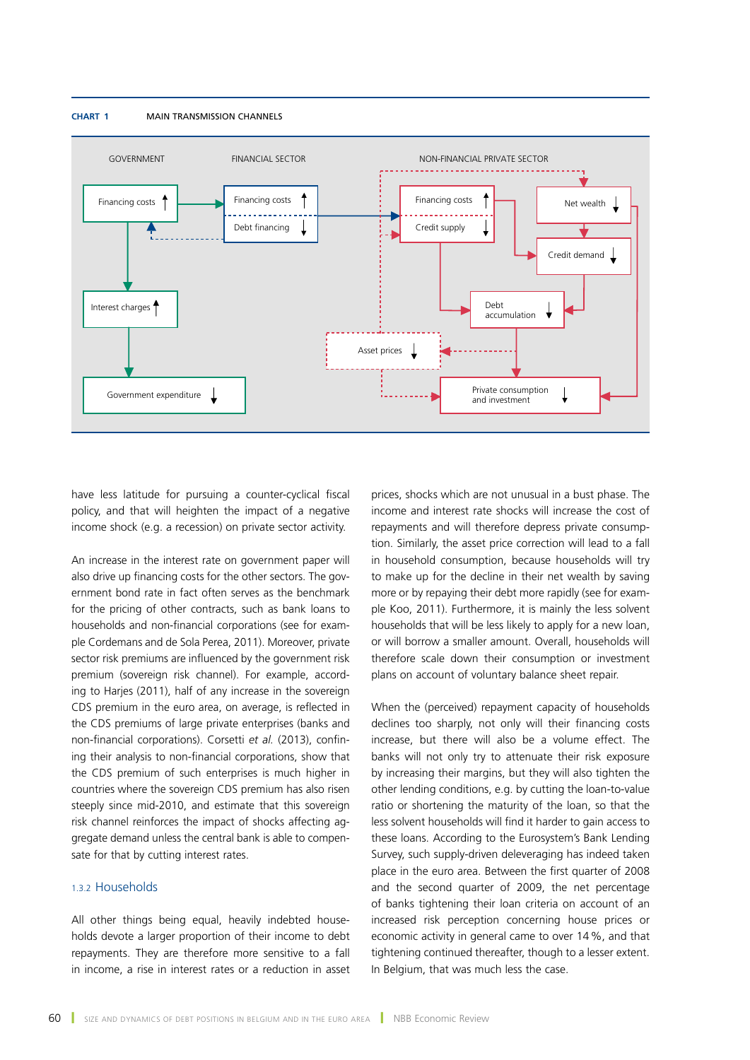#### **Chart 1** Main transmission channels



have less latitude for pursuing a counter-cyclical fiscal policy, and that will heighten the impact of a negative income shock (e.g. a recession) on private sector activity.

An increase in the interest rate on government paper will also drive up financing costs for the other sectors. The government bond rate in fact often serves as the benchmark for the pricing of other contracts, such as bank loans to households and non-financial corporations (see for example Cordemans and de Sola Perea, 2011). Moreover, private sector risk premiums are influenced by the government risk premium (sovereign risk channel). For example, according to Harjes (2011), half of any increase in the sovereign CDS premium in the euro area, on average, is reflected in the CDS premiums of large private enterprises (banks and non-financial corporations). Corsetti *et al.* (2013), confining their analysis to non-financial corporations, show that the CDS premium of such enterprises is much higher in countries where the sovereign CDS premium has also risen steeply since mid-2010, and estimate that this sovereign risk channel reinforces the impact of shocks affecting aggregate demand unless the central bank is able to compensate for that by cutting interest rates.

### 1.3.2 Households

All other things being equal, heavily indebted households devote a larger proportion of their income to debt repayments. They are therefore more sensitive to a fall in income, a rise in interest rates or a reduction in asset prices, shocks which are not unusual in a bust phase. The income and interest rate shocks will increase the cost of repayments and will therefore depress private consumption. Similarly, the asset price correction will lead to a fall in household consumption, because households will try to make up for the decline in their net wealth by saving more or by repaying their debt more rapidly (see for example Koo, 2011). Furthermore, it is mainly the less solvent households that will be less likely to apply for a new loan, or will borrow a smaller amount. Overall, households will therefore scale down their consumption or investment plans on account of voluntary balance sheet repair.

When the (perceived) repayment capacity of households declines too sharply, not only will their financing costs increase, but there will also be a volume effect. The banks will not only try to attenuate their risk exposure by increasing their margins, but they will also tighten the other lending conditions, e.g. by cutting the loan-to-value ratio or shortening the maturity of the loan, so that the less solvent households will find it harder to gain access to these loans. According to the Eurosystem's Bank Lending Survey, such supply-driven deleveraging has indeed taken place in the euro area. Between the first quarter of 2008 and the second quarter of 2009, the net percentage of banks tightening their loan criteria on account of an increased risk perception concerning house prices or economic activity in general came to over 14%, and that tightening continued thereafter, though to a lesser extent. In Belgium, that was much less the case.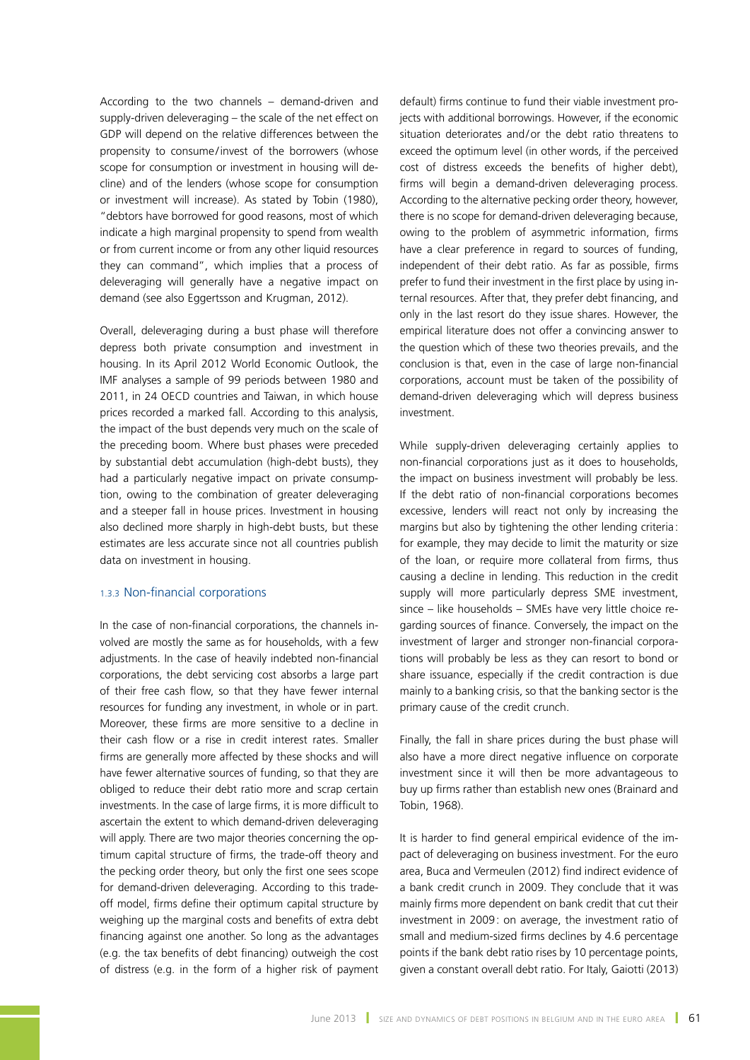According to the two channels – demand-driven and supply-driven deleveraging – the scale of the net effect on GDP will depend on the relative differences between the propensity to consume/invest of the borrowers (whose scope for consumption or investment in housing will decline) and of the lenders (whose scope for consumption or investment will increase). As stated by Tobin (1980), "debtors have borrowed for good reasons, most of which indicate a high marginal propensity to spend from wealth or from current income or from any other liquid resources they can command", which implies that a process of deleveraging will generally have a negative impact on demand (see also Eggertsson and Krugman, 2012).

Overall, deleveraging during a bust phase will therefore depress both private consumption and investment in housing. In its April 2012 World Economic Outlook, the IMF analyses a sample of 99 periods between 1980 and 2011, in 24 OECD countries and Taiwan, in which house prices recorded a marked fall. According to this analysis, the impact of the bust depends very much on the scale of the preceding boom. Where bust phases were preceded by substantial debt accumulation (high-debt busts), they had a particularly negative impact on private consumption, owing to the combination of greater deleveraging and a steeper fall in house prices. Investment in housing also declined more sharply in high-debt busts, but these estimates are less accurate since not all countries publish data on investment in housing.

#### 1.3.3 Non-financial corporations

In the case of non-financial corporations, the channels involved are mostly the same as for households, with a few adjustments. In the case of heavily indebted non-financial corporations, the debt servicing cost absorbs a large part of their free cash flow, so that they have fewer internal resources for funding any investment, in whole or in part. Moreover, these firms are more sensitive to a decline in their cash flow or a rise in credit interest rates. Smaller firms are generally more affected by these shocks and will have fewer alternative sources of funding, so that they are obliged to reduce their debt ratio more and scrap certain investments. In the case of large firms, it is more difficult to ascertain the extent to which demand-driven deleveraging will apply. There are two major theories concerning the optimum capital structure of firms, the trade-off theory and the pecking order theory, but only the first one sees scope for demand-driven deleveraging. According to this tradeoff model, firms define their optimum capital structure by weighing up the marginal costs and benefits of extra debt financing against one another. So long as the advantages (e.g. the tax benefits of debt financing) outweigh the cost of distress (e.g. in the form of a higher risk of payment

default) firms continue to fund their viable investment projects with additional borrowings. However, if the economic situation deteriorates and/or the debt ratio threatens to exceed the optimum level (in other words, if the perceived cost of distress exceeds the benefits of higher debt), firms will begin a demand-driven deleveraging process. According to the alternative pecking order theory, however, there is no scope for demand-driven deleveraging because, owing to the problem of asymmetric information, firms have a clear preference in regard to sources of funding, independent of their debt ratio. As far as possible, firms prefer to fund their investment in the first place by using internal resources. After that, they prefer debt financing, and only in the last resort do they issue shares. However, the empirical literature does not offer a convincing answer to the question which of these two theories prevails, and the conclusion is that, even in the case of large non-financial corporations, account must be taken of the possibility of demand-driven deleveraging which will depress business investment.

While supply-driven deleveraging certainly applies to non-financial corporations just as it does to households, the impact on business investment will probably be less. If the debt ratio of non-financial corporations becomes excessive, lenders will react not only by increasing the margins but also by tightening the other lending criteria: for example, they may decide to limit the maturity or size of the loan, or require more collateral from firms, thus causing a decline in lending. This reduction in the credit supply will more particularly depress SME investment, since – like households – SMEs have very little choice regarding sources of finance. Conversely, the impact on the investment of larger and stronger non-financial corporations will probably be less as they can resort to bond or share issuance, especially if the credit contraction is due mainly to a banking crisis, so that the banking sector is the primary cause of the credit crunch.

Finally, the fall in share prices during the bust phase will also have a more direct negative influence on corporate investment since it will then be more advantageous to buy up firms rather than establish new ones (Brainard and Tobin, 1968).

It is harder to find general empirical evidence of the impact of deleveraging on business investment. For the euro area, Buca and Vermeulen (2012) find indirect evidence of a bank credit crunch in 2009. They conclude that it was mainly firms more dependent on bank credit that cut their investment in 2009: on average, the investment ratio of small and medium-sized firms declines by 4.6 percentage points if the bank debt ratio rises by 10 percentage points, given a constant overall debt ratio. For Italy, Gaiotti (2013)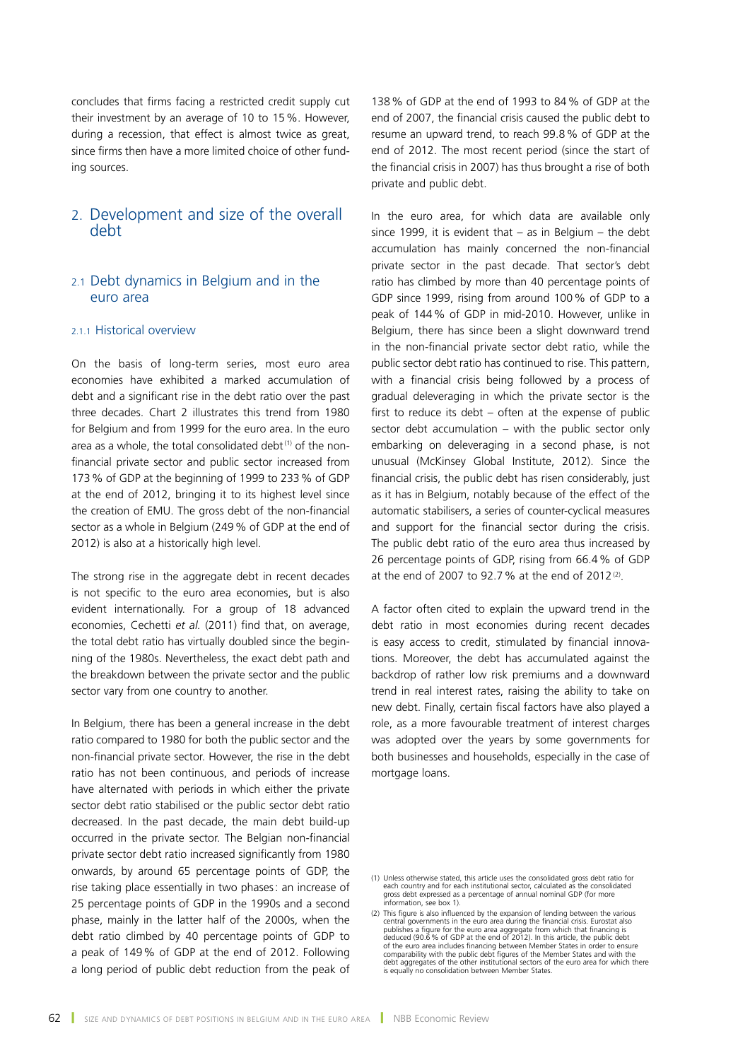concludes that firms facing a restricted credit supply cut their investment by an average of 10 to 15%. However, during a recession, that effect is almost twice as great, since firms then have a more limited choice of other funding sources.

# 2. Development and size of the overall debt

# 2.1 Debt dynamics in Belgium and in the euro area

### 2.1.1 Historical overview

On the basis of long-term series, most euro area economies have exhibited a marked accumulation of debt and a significant rise in the debt ratio over the past three decades. Chart 2 illustrates this trend from 1980 for Belgium and from 1999 for the euro area. In the euro area as a whole, the total consolidated debt $(1)$  of the nonfinancial private sector and public sector increased from 173% of GDP at the beginning of 1999 to 233% of GDP at the end of 2012, bringing it to its highest level since the creation of EMU. The gross debt of the non-financial sector as a whole in Belgium (249% of GDP at the end of 2012) is also at a historically high level.

The strong rise in the aggregate debt in recent decades is not specific to the euro area economies, but is also evident internationally. For a group of 18 advanced economies, Cechetti *et al.* (2011) find that, on average, the total debt ratio has virtually doubled since the beginning of the 1980s. Nevertheless, the exact debt path and the breakdown between the private sector and the public sector vary from one country to another.

In Belgium, there has been a general increase in the debt ratio compared to 1980 for both the public sector and the non-financial private sector. However, the rise in the debt ratio has not been continuous, and periods of increase have alternated with periods in which either the private sector debt ratio stabilised or the public sector debt ratio decreased. In the past decade, the main debt build-up occurred in the private sector. The Belgian non-financial private sector debt ratio increased significantly from 1980 onwards, by around 65 percentage points of GDP, the rise taking place essentially in two phases: an increase of 25 percentage points of GDP in the 1990s and a second phase, mainly in the latter half of the 2000s, when the debt ratio climbed by 40 percentage points of GDP to a peak of 149% of GDP at the end of 2012. Following a long period of public debt reduction from the peak of

138% of GDP at the end of 1993 to 84% of GDP at the end of 2007, the financial crisis caused the public debt to resume an upward trend, to reach 99.8% of GDP at the end of 2012. The most recent period (since the start of the financial crisis in 2007) has thus brought a rise of both private and public debt.

In the euro area, for which data are available only since 1999, it is evident that  $-$  as in Belgium  $-$  the debt accumulation has mainly concerned the non-financial private sector in the past decade. That sector's debt ratio has climbed by more than 40 percentage points of GDP since 1999, rising from around 100% of GDP to a peak of 144% of GDP in mid-2010. However, unlike in Belgium, there has since been a slight downward trend in the non-financial private sector debt ratio, while the public sector debt ratio has continued to rise. This pattern, with a financial crisis being followed by a process of gradual deleveraging in which the private sector is the first to reduce its debt – often at the expense of public sector debt accumulation – with the public sector only embarking on deleveraging in a second phase, is not unusual (McKinsey Global Institute, 2012). Since the financial crisis, the public debt has risen considerably, just as it has in Belgium, notably because of the effect of the automatic stabilisers, a series of counter-cyclical measures and support for the financial sector during the crisis. The public debt ratio of the euro area thus increased by 26 percentage points of GDP, rising from 66.4% of GDP at the end of 2007 to 92.7% at the end of 2012 $(2)$ .

A factor often cited to explain the upward trend in the debt ratio in most economies during recent decades is easy access to credit, stimulated by financial innovations. Moreover, the debt has accumulated against the backdrop of rather low risk premiums and a downward trend in real interest rates, raising the ability to take on new debt. Finally, certain fiscal factors have also played a role, as a more favourable treatment of interest charges was adopted over the years by some governments for both businesses and households, especially in the case of mortgage loans.

<sup>(1)</sup> Unless otherwise stated, this article uses the consolidated gross debt ratio for each country and for each institutional sector, calculated as the consolidated gross debt expressed as a percentage of annual nominal GDP (for more information, see box 1).

<sup>(2)</sup> This figure is also influenced by the expansion of lending between the various central governments in the euro area during the financial crisis. Eurostat also publishes a figure for the euro area aggregate from which that financing is deduced (90.6% of GDP at the end of 2012). In this article, the public debt of the euro area includes financing between Member States in order to ensure<br>comparability with the public debt figures of the Member States and with the<br>debt aggregates of the other institutional sectors of the euro area is equally no consolidation between Member States.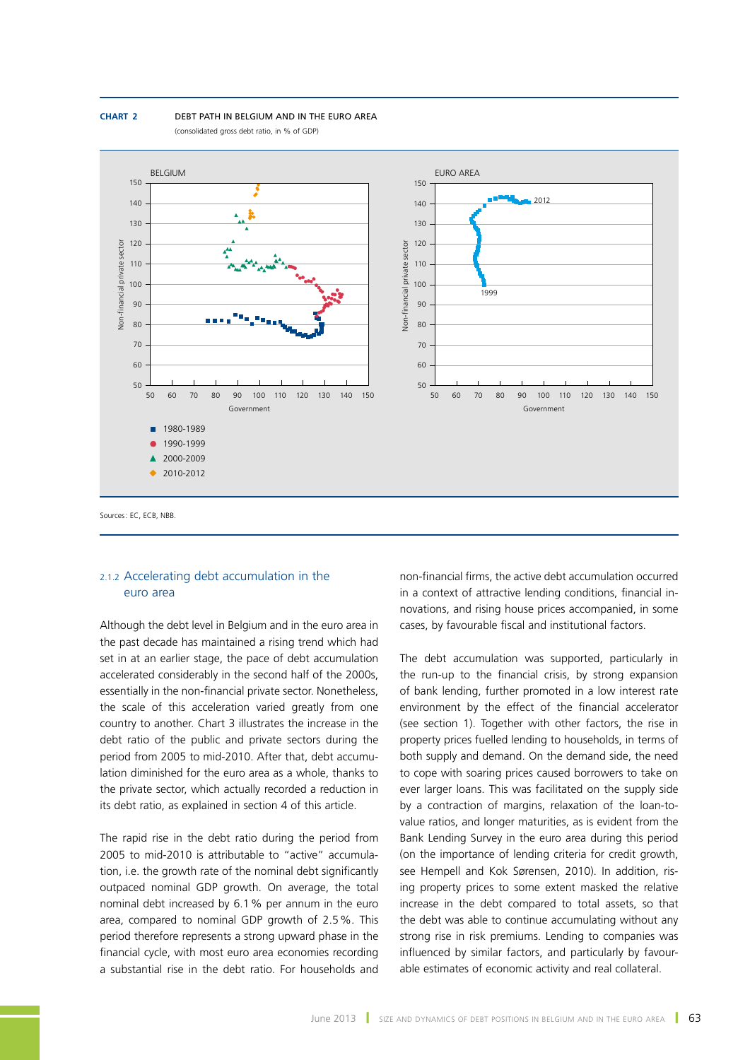



### 2.1.2 Accelerating debt accumulation in the euro area

Although the debt level in Belgium and in the euro area in the past decade has maintained a rising trend which had set in at an earlier stage, the pace of debt accumulation accelerated considerably in the second half of the 2000s, essentially in the non-financial private sector. Nonetheless, the scale of this acceleration varied greatly from one country to another. Chart 3 illustrates the increase in the debt ratio of the public and private sectors during the period from 2005 to mid-2010. After that, debt accumulation diminished for the euro area as a whole, thanks to the private sector, which actually recorded a reduction in its debt ratio, as explained in section 4 of this article.

The rapid rise in the debt ratio during the period from 2005 to mid-2010 is attributable to "active" accumulation, i.e. the growth rate of the nominal debt significantly outpaced nominal GDP growth. On average, the total nominal debt increased by 6.1% per annum in the euro area, compared to nominal GDP growth of 2.5%. This period therefore represents a strong upward phase in the financial cycle, with most euro area economies recording a substantial rise in the debt ratio. For households and

non-financial firms, the active debt accumulation occurred in a context of attractive lending conditions, financial innovations, and rising house prices accompanied, in some cases, by favourable fiscal and institutional factors.

The debt accumulation was supported, particularly in the run-up to the financial crisis, by strong expansion of bank lending, further promoted in a low interest rate environment by the effect of the financial accelerator (see section 1). Together with other factors, the rise in property prices fuelled lending to households, in terms of both supply and demand. On the demand side, the need to cope with soaring prices caused borrowers to take on ever larger loans. This was facilitated on the supply side by a contraction of margins, relaxation of the loan-tovalue ratios, and longer maturities, as is evident from the Bank Lending Survey in the euro area during this period (on the importance of lending criteria for credit growth, see Hempell and Kok Sørensen, 2010). In addition, rising property prices to some extent masked the relative increase in the debt compared to total assets, so that the debt was able to continue accumulating without any strong rise in risk premiums. Lending to companies was influenced by similar factors, and particularly by favourable estimates of economic activity and real collateral.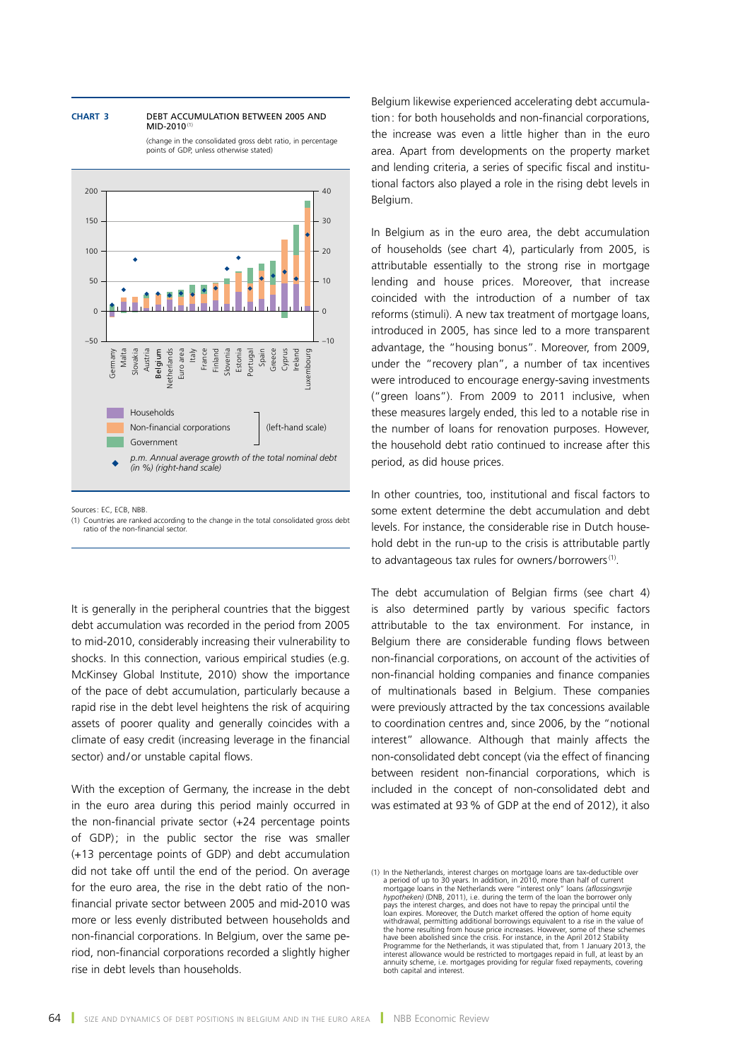#### **Chart 3** Debt accumulation between 2005 and MID-2010<sup>(1</sup>

(change in the consolidated gross debt ratio, in percentage points of GDP, unless otherwise stated)



Sources: EC, ECB, NBB.

It is generally in the peripheral countries that the biggest debt accumulation was recorded in the period from 2005 to mid-2010, considerably increasing their vulnerability to shocks. In this connection, various empirical studies (e.g. McKinsey Global Institute, 2010) show the importance of the pace of debt accumulation, particularly because a rapid rise in the debt level heightens the risk of acquiring assets of poorer quality and generally coincides with a climate of easy credit (increasing leverage in the financial sector) and/or unstable capital flows.

With the exception of Germany, the increase in the debt in the euro area during this period mainly occurred in the non-financial private sector (+24 percentage points of GDP); in the public sector the rise was smaller (+13 percentage points of GDP) and debt accumulation did not take off until the end of the period. On average for the euro area, the rise in the debt ratio of the nonfinancial private sector between 2005 and mid-2010 was more or less evenly distributed between households and non-financial corporations. In Belgium, over the same period, non-financial corporations recorded a slightly higher rise in debt levels than households.

Belgium likewise experienced accelerating debt accumulation: for both households and non-financial corporations, the increase was even a little higher than in the euro area. Apart from developments on the property market and lending criteria, a series of specific fiscal and institutional factors also played a role in the rising debt levels in Belgium.

In Belgium as in the euro area, the debt accumulation of households (see chart 4), particularly from 2005, is attributable essentially to the strong rise in mortgage lending and house prices. Moreover, that increase coincided with the introduction of a number of tax reforms (stimuli). A new tax treatment of mortgage loans, introduced in 2005, has since led to a more transparent advantage, the "housing bonus". Moreover, from 2009, under the "recovery plan", a number of tax incentives were introduced to encourage energy-saving investments ("green loans"). From 2009 to 2011 inclusive, when these measures largely ended, this led to a notable rise in the number of loans for renovation purposes. However, the household debt ratio continued to increase after this period, as did house prices.

In other countries, too, institutional and fiscal factors to some extent determine the debt accumulation and debt levels. For instance, the considerable rise in Dutch household debt in the run-up to the crisis is attributable partly to advantageous tax rules for owners/borrowers<sup>(1)</sup>.

The debt accumulation of Belgian firms (see chart 4) is also determined partly by various specific factors attributable to the tax environment. For instance, in Belgium there are considerable funding flows between non-financial corporations, on account of the activities of non-financial holding companies and finance companies of multinationals based in Belgium. These companies were previously attracted by the tax concessions available to coordination centres and, since 2006, by the "notional interest" allowance. Although that mainly affects the non-consolidated debt concept (via the effect of financing between resident non-financial corporations, which is included in the concept of non-consolidated debt and was estimated at 93% of GDP at the end of 2012), it also

<sup>(1)</sup> Countries are ranked according to the change in the total consolidated gross debt ratio of the non-financial sector.

<sup>(1)</sup> In the Netherlands, interest charges on mortgage loans are tax-deductible over a period of up to 30 years. In addition, in 2010, more than half of current mortgage loans in the Netherlands were "interest only" loans *(aflossingsvrije hypotheken*) (DNB, 2011), i.e. during the term of the loan the borrower only<br>pays the interest charges, and does not have to repay the principal until the<br>loan expires. Moreover, the Dutch market offered the option of hom withdrawal, permitting additional borrowings equivalent to a rise in the value of the home resulting from house price increases. However, some of these schemes have been abolished since the crisis. For instance, in the April 2012 Stability Programme for the Netherlands, it was stipulated that, from 1 January 2013, the<br>interest allowance would be restricted to mortgages repaid in full, at least by an<br>annuity scheme, i.e. mortgages providing for regular fixed both capital and interest.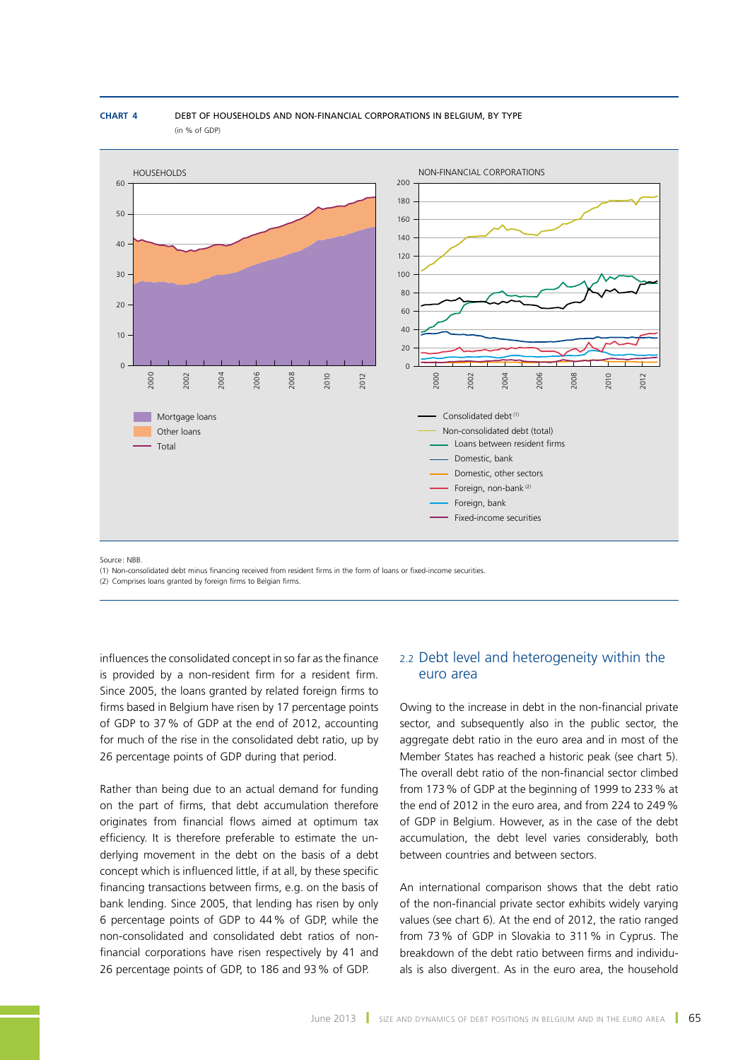**Chart 4** Debt of households and non-financial corporations in Belgium, by type (in % of GDP)



Source : NBB.

(1) Non-consolidated debt minus financing received from resident firms in the form of loans or fixed-income securities.

(2) Comprises loans granted by foreign firms to Belgian firms.

influences the consolidated concept in so far as the finance is provided by a non-resident firm for a resident firm. Since 2005, the loans granted by related foreign firms to firms based in Belgium have risen by 17 percentage points of GDP to 37% of GDP at the end of 2012, accounting for much of the rise in the consolidated debt ratio, up by 26 percentage points of GDP during that period.

Rather than being due to an actual demand for funding on the part of firms, that debt accumulation therefore originates from financial flows aimed at optimum tax efficiency. It is therefore preferable to estimate the underlying movement in the debt on the basis of a debt concept which is influenced little, if at all, by these specific financing transactions between firms, e.g. on the basis of bank lending. Since 2005, that lending has risen by only 6 percentage points of GDP to 44% of GDP, while the non-consolidated and consolidated debt ratios of nonfinancial corporations have risen respectively by 41 and 26 percentage points of GDP, to 186 and 93% of GDP.

# 2.2 Debt level and heterogeneity within the euro area

Owing to the increase in debt in the non-financial private sector, and subsequently also in the public sector, the aggregate debt ratio in the euro area and in most of the Member States has reached a historic peak (see chart 5). The overall debt ratio of the non-financial sector climbed from 173% of GDP at the beginning of 1999 to 233% at the end of 2012 in the euro area, and from 224 to 249% of GDP in Belgium. However, as in the case of the debt accumulation, the debt level varies considerably, both between countries and between sectors.

An international comparison shows that the debt ratio of the non-financial private sector exhibits widely varying values (see chart 6). At the end of 2012, the ratio ranged from 73% of GDP in Slovakia to 311% in Cyprus. The breakdown of the debt ratio between firms and individuals is also divergent. As in the euro area, the household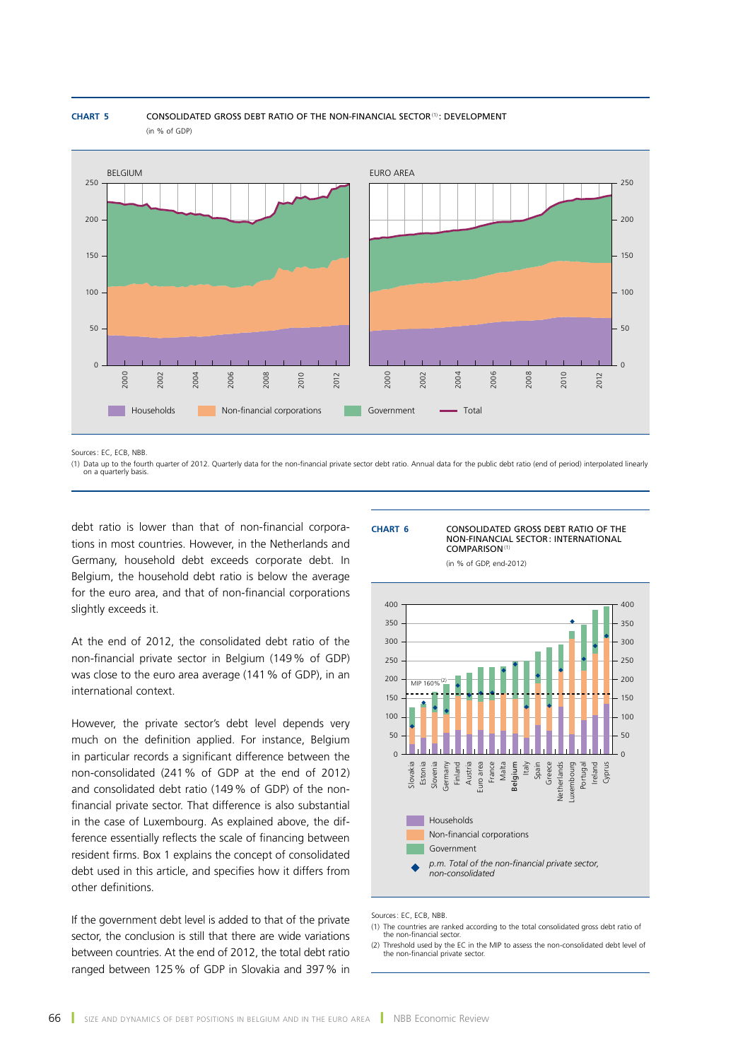

**CHART 5 CONSOLIDATED GROSS DEBT RATIO OF THE NON-FINANCIAL SECTOR<sup>(1)</sup>: DEVELOPMENT** (in % of GDP)

Sources: EC, ECB, NBB.

(1) Data up to the fourth quarter of 2012. Quarterly data for the non-financial private sector debt ratio. Annual data for the public debt ratio (end of period) interpolated linearly on a quarterly basis.

debt ratio is lower than that of non-financial corporations in most countries. However, in the Netherlands and Germany, household debt exceeds corporate debt. In Belgium, the household debt ratio is below the average for the euro area, and that of non-financial corporations slightly exceeds it.

At the end of 2012, the consolidated debt ratio of the non-financial private sector in Belgium (149% of GDP) was close to the euro area average (141% of GDP), in an international context.

However, the private sector's debt level depends very much on the definition applied. For instance, Belgium in particular records a significant difference between the non-consolidated (241% of GDP at the end of 2012) and consolidated debt ratio (149% of GDP) of the nonfinancial private sector. That difference is also substantial in the case of Luxembourg. As explained above, the difference essentially reflects the scale of financing between resident firms. Box 1 explains the concept of consolidated debt used in this article, and specifies how it differs from other definitions.

If the government debt level is added to that of the private sector, the conclusion is still that there are wide variations between countries. At the end of 2012, the total debt ratio ranged between 125% of GDP in Slovakia and 397% in

#### **Chart 6** Consolidated gross debt ratio of the non-financial sector: international comparison(1)

(in % of GDP, end-2012)



Sources: EC, ECB, NBB.

- (1) The countries are ranked according to the total consolidated gross debt ratio of the non-financial sector.
- (2) Threshold used by the EC in the MIP to assess the non-consolidated debt level of the non-financial private sector.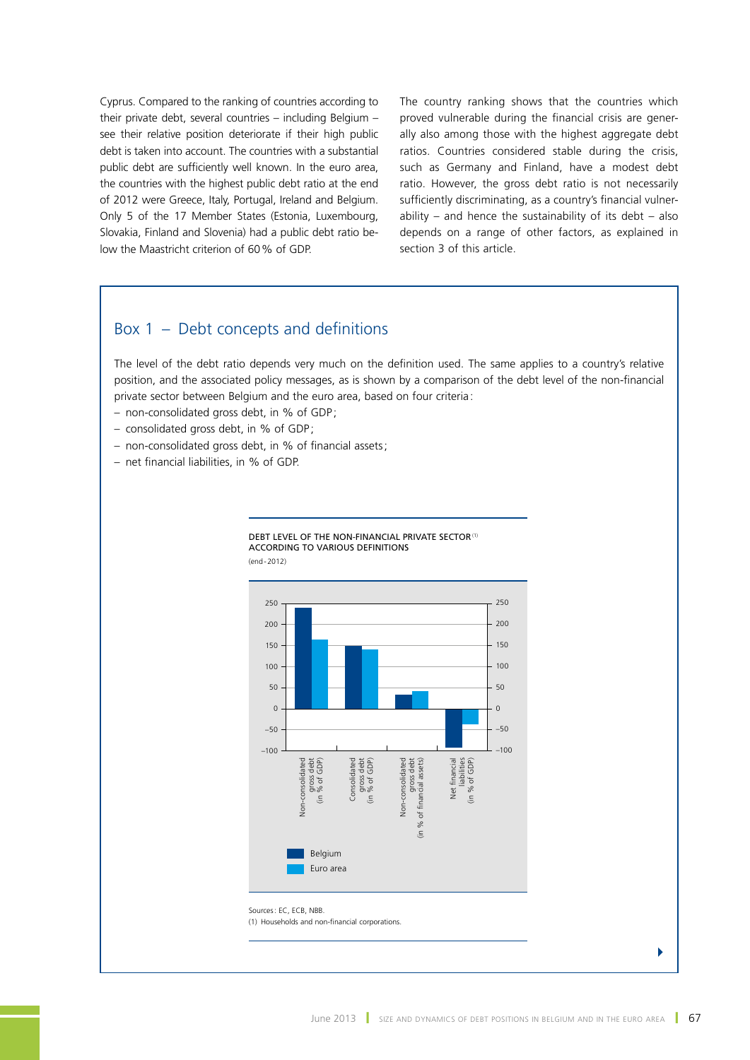Cyprus. Compared to the ranking of countries according to their private debt, several countries – including Belgium – see their relative position deteriorate if their high public debt is taken into account. The countries with a substantial public debt are sufficiently well known. In the euro area, the countries with the highest public debt ratio at the end of 2012 were Greece, Italy, Portugal, Ireland and Belgium. Only 5 of the 17 Member States (Estonia, Luxembourg, Slovakia, Finland and Slovenia) had a public debt ratio below the Maastricht criterion of 60% of GDP.

The country ranking shows that the countries which proved vulnerable during the financial crisis are generally also among those with the highest aggregate debt ratios. Countries considered stable during the crisis, such as Germany and Finland, have a modest debt ratio. However, the gross debt ratio is not necessarily sufficiently discriminating, as a country's financial vulnerability – and hence the sustainability of its debt – also depends on a range of other factors, as explained in section 3 of this article.

# Box 1 – Debt concepts and definitions

The level of the debt ratio depends very much on the definition used. The same applies to a country's relative position, and the associated policy messages, as is shown by a comparison of the debt level of the non-financial private sector between Belgium and the euro area, based on four criteria:

- non-consolidated gross debt, in % of GDP ;
- consolidated gross debt, in % of GDP ;
- non-consolidated gross debt, in % of financial assets;
- net financial liabilities, in % of GDP.



4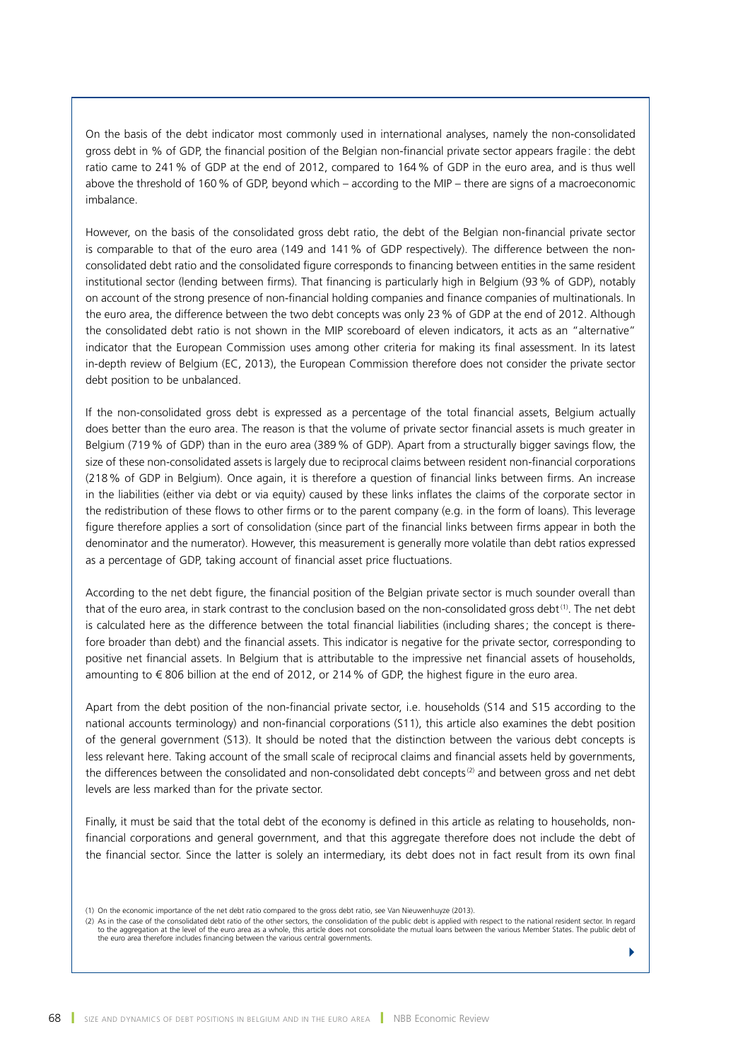On the basis of the debt indicator most commonly used in international analyses, namely the non-consolidated gross debt in % of GDP, the financial position of the Belgian non-financial private sector appears fragile: the debt ratio came to 241% of GDP at the end of 2012, compared to 164% of GDP in the euro area, and is thus well above the threshold of 160% of GDP, beyond which – according to the MIP – there are signs of a macroeconomic imbalance.

However, on the basis of the consolidated gross debt ratio, the debt of the Belgian non-financial private sector is comparable to that of the euro area (149 and 141% of GDP respectively). The difference between the nonconsolidated debt ratio and the consolidated figure corresponds to financing between entities in the same resident institutional sector (lending between firms). That financing is particularly high in Belgium (93% of GDP), notably on account of the strong presence of non-financial holding companies and finance companies of multinationals. In the euro area, the difference between the two debt concepts was only 23% of GDP at the end of 2012. Although the consolidated debt ratio is not shown in the MIP scoreboard of eleven indicators, it acts as an "alternative" indicator that the European Commission uses among other criteria for making its final assessment. In its latest in-depth review of Belgium (EC, 2013), the European Commission therefore does not consider the private sector debt position to be unbalanced.

If the non-consolidated gross debt is expressed as a percentage of the total financial assets, Belgium actually does better than the euro area. The reason is that the volume of private sector financial assets is much greater in Belgium (719% of GDP) than in the euro area (389% of GDP). Apart from a structurally bigger savings flow, the size of these non-consolidated assets is largely due to reciprocal claims between resident non-financial corporations (218% of GDP in Belgium). Once again, it is therefore a question of financial links between firms. An increase in the liabilities (either via debt or via equity) caused by these links inflates the claims of the corporate sector in the redistribution of these flows to other firms or to the parent company (e.g. in the form of loans). This leverage figure therefore applies a sort of consolidation (since part of the financial links between firms appear in both the denominator and the numerator). However, this measurement is generally more volatile than debt ratios expressed as a percentage of GDP, taking account of financial asset price fluctuations.

According to the net debt figure, the financial position of the Belgian private sector is much sounder overall than that of the euro area, in stark contrast to the conclusion based on the non-consolidated gross debt<sup>(1)</sup>. The net debt is calculated here as the difference between the total financial liabilities (including shares; the concept is therefore broader than debt) and the financial assets. This indicator is negative for the private sector, corresponding to positive net financial assets. In Belgium that is attributable to the impressive net financial assets of households, amounting to € 806 billion at the end of 2012, or 214% of GDP, the highest figure in the euro area.

Apart from the debt position of the non-financial private sector, i.e. households (S14 and S15 according to the national accounts terminology) and non-financial corporations (S11), this article also examines the debt position of the general government (S13). It should be noted that the distinction between the various debt concepts is less relevant here. Taking account of the small scale of reciprocal claims and financial assets held by governments, the differences between the consolidated and non-consolidated debt concepts<sup>(2)</sup> and between gross and net debt levels are less marked than for the private sector.

Finally, it must be said that the total debt of the economy is defined in this article as relating to households, nonfinancial corporations and general government, and that this aggregate therefore does not include the debt of the financial sector. Since the latter is solely an intermediary, its debt does not in fact result from its own final

(2) As in the case of the consolidated debt ratio of the other sectors, the consolidation of the public debt is applied with respect to the national resident sector. In regard to the aggregation at the level of the euro ar

<sup>(1)</sup> On the economic importance of the net debt ratio compared to the gross debt ratio, see Van Nieuwenhuyze (2013).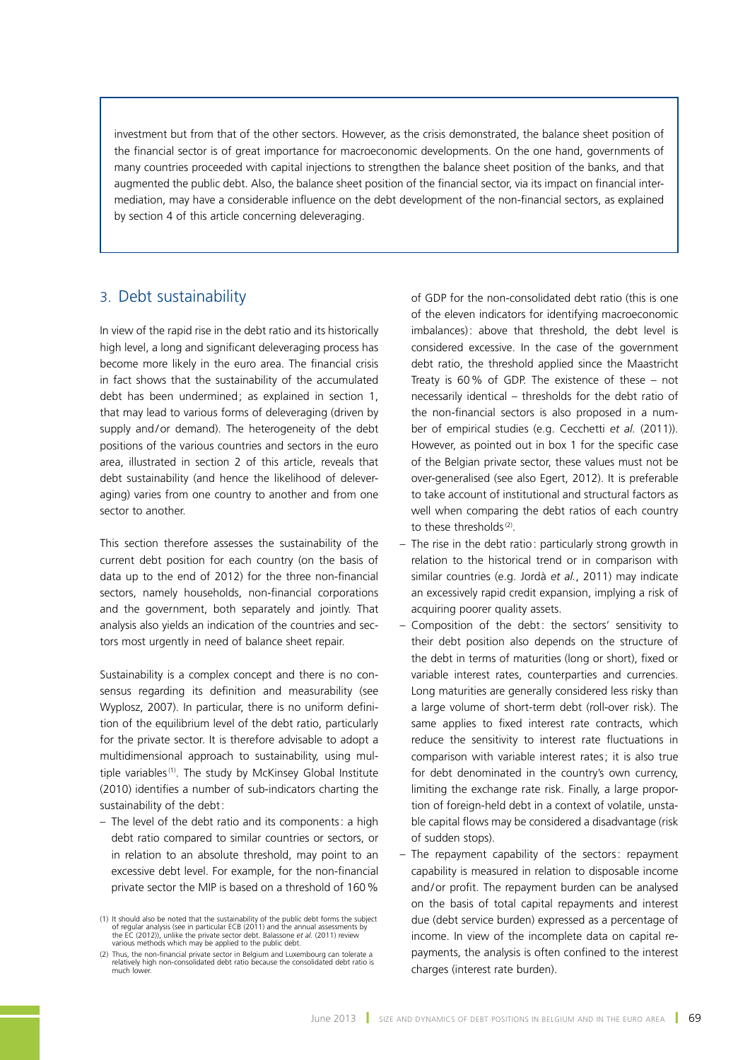investment but from that of the other sectors. However, as the crisis demonstrated, the balance sheet position of the financial sector is of great importance for macroeconomic developments. On the one hand, governments of many countries proceeded with capital injections to strengthen the balance sheet position of the banks, and that augmented the public debt. Also, the balance sheet position of the financial sector, via its impact on financial intermediation, may have a considerable influence on the debt development of the non-financial sectors, as explained by section 4 of this article concerning deleveraging.

# 3. Debt sustainability

In view of the rapid rise in the debt ratio and its historically high level, a long and significant deleveraging process has become more likely in the euro area. The financial crisis in fact shows that the sustainability of the accumulated debt has been undermined; as explained in section 1, that may lead to various forms of deleveraging (driven by supply and/or demand). The heterogeneity of the debt positions of the various countries and sectors in the euro area, illustrated in section 2 of this article, reveals that debt sustainability (and hence the likelihood of deleveraging) varies from one country to another and from one sector to another.

This section therefore assesses the sustainability of the current debt position for each country (on the basis of data up to the end of 2012) for the three non-financial sectors, namely households, non-financial corporations and the government, both separately and jointly. That analysis also yields an indication of the countries and sectors most urgently in need of balance sheet repair.

Sustainability is a complex concept and there is no consensus regarding its definition and measurability (see Wyplosz, 2007). In particular, there is no uniform definition of the equilibrium level of the debt ratio, particularly for the private sector. It is therefore advisable to adopt a multidimensional approach to sustainability, using multiple variables<sup>(1)</sup>. The study by McKinsey Global Institute (2010) identifies a number of sub-indicators charting the sustainability of the debt:

– The level of the debt ratio and its components: a high debt ratio compared to similar countries or sectors, or in relation to an absolute threshold, may point to an excessive debt level. For example, for the non-financial private sector the MIP is based on a threshold of 160%

of GDP for the non-consolidated debt ratio (this is one of the eleven indicators for identifying macroeconomic imbalances): above that threshold, the debt level is considered excessive. In the case of the government debt ratio, the threshold applied since the Maastricht Treaty is 60% of GDP. The existence of these – not necessarily identical – thresholds for the debt ratio of the non-financial sectors is also proposed in a number of empirical studies (e.g. Cecchetti *et al.* (2011)). However, as pointed out in box 1 for the specific case of the Belgian private sector, these values must not be over-generalised (see also Egert, 2012). It is preferable to take account of institutional and structural factors as well when comparing the debt ratios of each country to these thresholds<sup>(2)</sup>.

- The rise in the debt ratio: particularly strong growth in relation to the historical trend or in comparison with similar countries (e.g. Jordà *et al.*, 2011) may indicate an excessively rapid credit expansion, implying a risk of acquiring poorer quality assets.
- Composition of the debt: the sectors' sensitivity to their debt position also depends on the structure of the debt in terms of maturities (long or short), fixed or variable interest rates, counterparties and currencies. Long maturities are generally considered less risky than a large volume of short-term debt (roll-over risk). The same applies to fixed interest rate contracts, which reduce the sensitivity to interest rate fluctuations in comparison with variable interest rates; it is also true for debt denominated in the country's own currency, limiting the exchange rate risk. Finally, a large proportion of foreign-held debt in a context of volatile, unstable capital flows may be considered a disadvantage (risk of sudden stops).
- The repayment capability of the sectors: repayment capability is measured in relation to disposable income and/or profit. The repayment burden can be analysed on the basis of total capital repayments and interest due (debt service burden) expressed as a percentage of income. In view of the incomplete data on capital repayments, the analysis is often confined to the interest charges (interest rate burden).

<sup>(1)</sup> It should also be noted that the sustainability of the public debt forms the subject of regular analysis (see in particular ECB (2011) and the annual assessments by the EC (2012)), unlike the private sector debt. Balassone *et al.* (2011) review various methods which may be applied to the public debt.

<sup>(2)</sup> Thus, the non-financial private sector in Belgium and Luxembourg can tolerate a relatively high non-consolidated debt ratio because the consolidated debt ratio is much lower.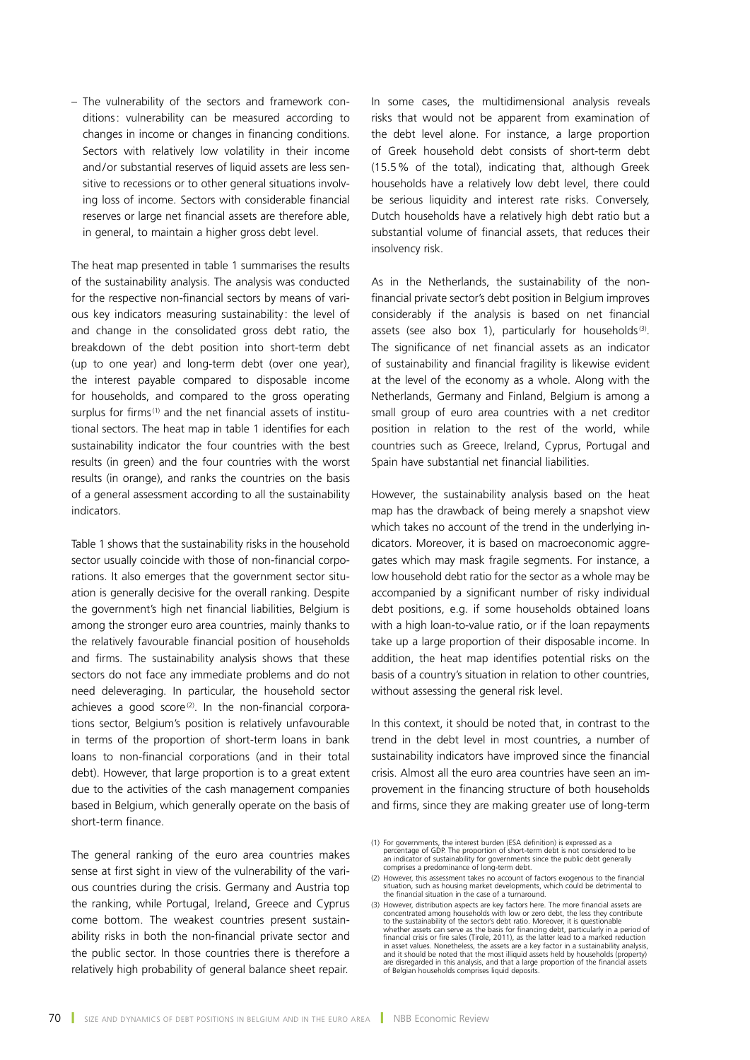– The vulnerability of the sectors and framework conditions: vulnerability can be measured according to changes in income or changes in financing conditions. Sectors with relatively low volatility in their income and/or substantial reserves of liquid assets are less sensitive to recessions or to other general situations involving loss of income. Sectors with considerable financial reserves or large net financial assets are therefore able, in general, to maintain a higher gross debt level.

The heat map presented in table 1 summarises the results of the sustainability analysis. The analysis was conducted for the respective non-financial sectors by means of various key indicators measuring sustainability : the level of and change in the consolidated gross debt ratio, the breakdown of the debt position into short-term debt (up to one year) and long-term debt (over one year), the interest payable compared to disposable income for households, and compared to the gross operating surplus for firms<sup>(1)</sup> and the net financial assets of institutional sectors. The heat map in table 1 identifies for each sustainability indicator the four countries with the best results (in green) and the four countries with the worst results (in orange), and ranks the countries on the basis of a general assessment according to all the sustainability indicators.

Table 1 shows that the sustainability risks in the household sector usually coincide with those of non-financial corporations. It also emerges that the government sector situation is generally decisive for the overall ranking. Despite the government's high net financial liabilities, Belgium is among the stronger euro area countries, mainly thanks to the relatively favourable financial position of households and firms. The sustainability analysis shows that these sectors do not face any immediate problems and do not need deleveraging. In particular, the household sector achieves a good score<sup>(2)</sup>. In the non-financial corporations sector, Belgium's position is relatively unfavourable in terms of the proportion of short-term loans in bank loans to non-financial corporations (and in their total debt). However, that large proportion is to a great extent due to the activities of the cash management companies based in Belgium, which generally operate on the basis of short-term finance.

The general ranking of the euro area countries makes sense at first sight in view of the vulnerability of the various countries during the crisis. Germany and Austria top the ranking, while Portugal, Ireland, Greece and Cyprus come bottom. The weakest countries present sustainability risks in both the non-financial private sector and the public sector. In those countries there is therefore a relatively high probability of general balance sheet repair.

In some cases, the multidimensional analysis reveals risks that would not be apparent from examination of the debt level alone. For instance, a large proportion of Greek household debt consists of short-term debt (15.5% of the total), indicating that, although Greek households have a relatively low debt level, there could be serious liquidity and interest rate risks. Conversely, Dutch households have a relatively high debt ratio but a substantial volume of financial assets, that reduces their insolvency risk.

As in the Netherlands, the sustainability of the nonfinancial private sector's debt position in Belgium improves considerably if the analysis is based on net financial assets (see also box 1), particularly for households $(3)$ . The significance of net financial assets as an indicator of sustainability and financial fragility is likewise evident at the level of the economy as a whole. Along with the Netherlands, Germany and Finland, Belgium is among a small group of euro area countries with a net creditor position in relation to the rest of the world, while countries such as Greece, Ireland, Cyprus, Portugal and Spain have substantial net financial liabilities.

However, the sustainability analysis based on the heat map has the drawback of being merely a snapshot view which takes no account of the trend in the underlying indicators. Moreover, it is based on macroeconomic aggregates which may mask fragile segments. For instance, a low household debt ratio for the sector as a whole may be accompanied by a significant number of risky individual debt positions, e.g. if some households obtained loans with a high loan-to-value ratio, or if the loan repayments take up a large proportion of their disposable income. In addition, the heat map identifies potential risks on the basis of a country's situation in relation to other countries, without assessing the general risk level.

In this context, it should be noted that, in contrast to the trend in the debt level in most countries, a number of sustainability indicators have improved since the financial crisis. Almost all the euro area countries have seen an improvement in the financing structure of both households and firms, since they are making greater use of long-term

<sup>(1)</sup> For governments, the interest burden (ESA definition) is expressed as a<br>percentage of GDP. The proportion of short-term debt is not considered to be<br>an indicator of sustainability for governments since the public debt comprises a predominance of long-term debt.

<sup>(2)</sup> However, this assessment takes no account of factors exogenous to the financial situation, such as housing market developments, which could be detrimental to the financial situation in the case of a turnaround.

<sup>(3)</sup> However, distribution aspects are key factors here. The more financial assets are concentrated among households with low or zero debt, the less they contribute to the sustainability of the sector's debt ratio. Moreover in asset values. Nonetheless, the assets are a key factor in a sustainability analysis, and it should be noted that the most illiquid assets held by households (property) are disregarded in this analysis, and that a large proportion of the financial assets of Belgian households comprises liquid deposits.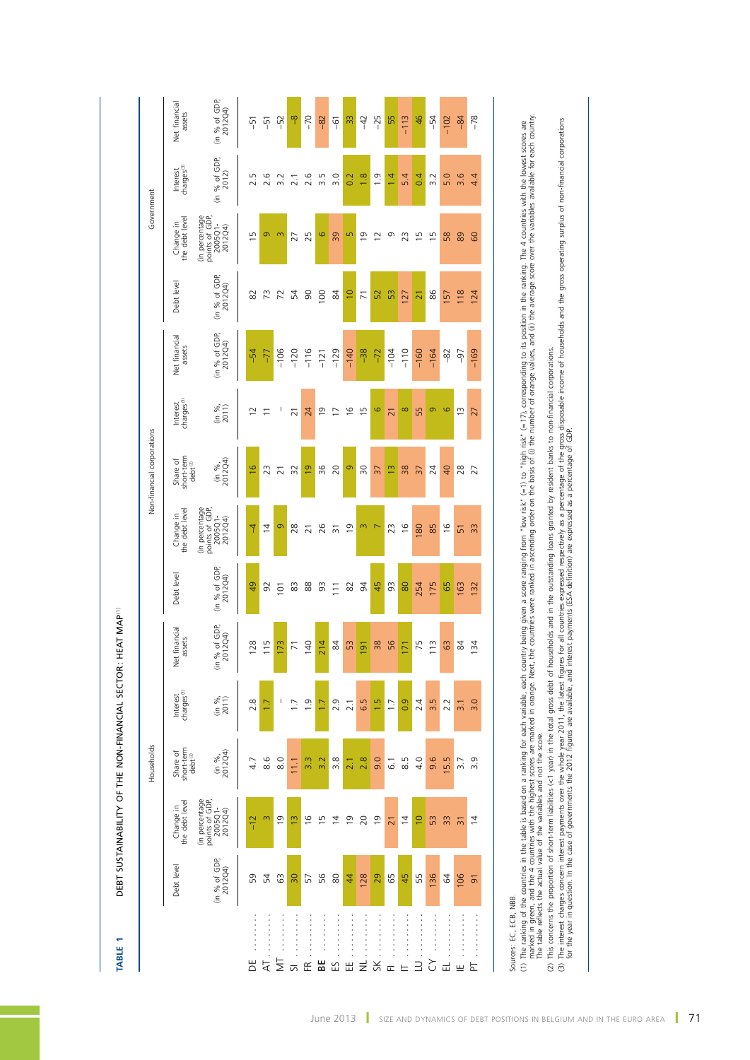| <b>TABLE</b>   |                          | DEBT SUSTAINABILITY OF THE NON-FINANCIAL SECTOR: HEAT MAP <sup>(1)</sup> |                                               |                                    |                                   |                          |                                                        |                                              |                                    |                          |                          |                                                        |                                    |                          |
|----------------|--------------------------|--------------------------------------------------------------------------|-----------------------------------------------|------------------------------------|-----------------------------------|--------------------------|--------------------------------------------------------|----------------------------------------------|------------------------------------|--------------------------|--------------------------|--------------------------------------------------------|------------------------------------|--------------------------|
|                |                          |                                                                          | Households                                    |                                    |                                   |                          |                                                        | Non-financial corporations                   |                                    |                          |                          | Government                                             |                                    |                          |
|                | Debt level               | Change in<br>the debt level                                              | Share of<br>short-term<br>debt <sup>(2)</sup> | Interest<br>charges <sup>(3)</sup> | financial<br>assets<br><b>Jet</b> | Debt level               | Change in<br>the debt level                            | short-term<br>debt <sup>2)</sup><br>Share of | Interest<br>charges <sup>(3)</sup> | Net financial<br>assets  | Debt level               | Change in<br>the debt level                            | Interest<br>charges <sup>(3)</sup> | Net financial<br>assets  |
|                | (in % of GDP,<br>2012Q4) | (in percentage<br>points of GDP,<br>2005Q1-<br>2012Q4)                   | $\frac{\sin 96}{201204}$                      | $\frac{96}{2011}$                  | (in % of GDP,<br>2012Q4)          | (in % of GDP,<br>2012Q4) | (in percentage<br>points of GDP,<br>2005Q1-<br>2012Q4) | $\frac{(\text{in } 96)}{201204}$             | $\frac{96}{2011}$                  | (in % of GDP,<br>2012Q4) | (in % of GDP,<br>2012Q4) | (in percentage<br>points of GDP,<br>2005Q1-<br>2012Q4) | (in % of GDP,<br>2012)             | (in % of GDP,<br>2012Q4) |
| ă              | S9                       | $-12$                                                                    | 4.7                                           | $\infty$<br>$\sim$                 | 28                                | 49                       | $\overline{4}$                                         | $\frac{6}{2}$                                | $\overline{c}$                     | $-54$                    | 82                       | $\overline{1}$                                         | 2.5                                | $\overline{5}$           |
| র              | 54                       | $\infty$                                                                 | 8.6                                           |                                    | $\overline{15}$                   | 92                       | $\overline{4}$                                         | 23                                           | $\overline{\phantom{0}}$           | $-77$                    | $\widetilde{z}$          | Ō                                                      | 2.6                                | $\overline{5}$           |
| ₹              | C3                       | $\overline{6}$                                                           | 8.0                                           | 1                                  | 73                                | 101                      | $\circ$                                                | $\overline{21}$                              | I                                  | $-106$                   | 72                       | $\infty$                                               | 3.2                                | $-52$                    |
| ᇬ              | 90                       | $\frac{1}{2}$                                                            | 111                                           |                                    | $\overline{7}$                    | 83                       | 28                                                     | 32                                           | $\overline{21}$                    | $-120$                   | 54                       | 27                                                     | 2.1                                | q                        |
| 匥              | 57                       | $\frac{6}{2}$                                                            | 3.3                                           | $\frac{0}{1}$                      | $\overline{a}$                    | 88                       | $\overline{21}$                                        | $\overline{6}$                               | 24                                 | $-116$                   | $\infty$                 | 25                                                     | 2.6                                | $-70$                    |
| 벎              | 56                       | $\frac{5}{1}$                                                            | 3.2                                           | $\overline{1}$                     | 214                               | 93                       | 26                                                     | 96                                           | $\overline{9}$                     | $-121$                   | $\overline{0}$           | $\circ$                                                | 3.5                                | $-82$                    |
| 53             | 80                       | $\overline{4}$                                                           | 3.8                                           | 2.9                                | 84                                | $\overline{11}$          | $\overline{5}$                                         | 20                                           | $\overline{1}$                     | $-129$                   | 84                       | 39                                                     | 3.0                                | $\overline{9}$           |
| 出              | $\overline{4}$           | $\overline{9}$                                                           | $\overline{2}$                                | 2.1                                | 53                                | 82                       | $\overline{0}$                                         | $\circ$                                      | $\frac{6}{2}$                      | $-140$                   | $\overline{0}$           | Б                                                      | 0.2                                | 33                       |
| $\equiv$       | 128                      | 20                                                                       | 2.8                                           | 6.5                                | $\overline{9}$                    | 54                       | m                                                      | 30                                           | $\frac{1}{2}$                      | $-38$                    | $\overline{7}$           | $\overline{0}$                                         | 1.8                                | $-42$                    |
| $\frac{1}{2}$  | 29                       | $\overline{0}$                                                           | 9.0                                           | 1.5                                | 38                                | 45                       | $\triangleright$                                       | $\overline{37}$                              | 9                                  | $-72$                    | 52                       | $\bar{\mathbf{C}}$                                     | $\frac{0}{1}$                      | $-25$                    |
| 匸              | 65                       | $\overline{21}$                                                          | $\overline{6}$ .                              | 1.7                                | 56                                | 93                       | 23                                                     | $\frac{1}{2}$                                | $\overline{21}$                    | $-104$                   | 53                       | G                                                      | 1.4                                | 55                       |
|                | 45                       | $\overline{4}$                                                           | 8.5                                           | 0.9                                | $\overline{7}$                    | 80                       | $\frac{6}{2}$                                          | 38                                           | $\infty$                           | $-110$                   | 127                      | 23                                                     | 5.4                                | $-113$                   |
|                | 55                       | $\overline{10}$                                                          | 4.0                                           | 2.4                                | 75                                | 254                      | 180                                                    | $\overline{37}$                              | 55                                 | $-160$                   | $\overline{z}$           | $\overline{1}$                                         | 0.4                                | 46                       |
| Շ              | 136                      | 53                                                                       | 9.6                                           | 3.5                                | $\tilde{c}$                       | 175                      | 85                                                     | 24                                           | Ō                                  | $-164$                   | 86                       | $\frac{5}{1}$                                          | 3.2                                | $-54$                    |
| ᇛ              | $\mathcal{Q}$            | 33                                                                       | 15.5                                          | 2.2                                | G <sub>3</sub>                    | 65                       | $\frac{6}{2}$                                          | $\overline{40}$                              | 6                                  | $-82$                    | 157                      | 58                                                     | 5.0                                | $-102$                   |
| ш              | 106                      | స్                                                                       | $\overline{3.7}$                              | $\overline{3}$ .                   | 84                                | 163                      | 51                                                     | 28                                           | $\tilde{c}$                        | $-97$                    | 118                      | 89                                                     | $\frac{6}{3}$                      | $-84$                    |
| $\overline{p}$ | $\overline{9}$           | $\overline{4}$                                                           | $\overline{3}.9$                              | 3.0                                | 54                                | 132                      | 33                                                     | 27                                           | 27                                 | $-169$                   | 124                      | 60                                                     | 4.4                                | $-78$                    |

DEBT SUSTAINABILITY OF THE NON-FINANCIAL SECTOR: HEAT MAP<sup>(1)</sup> **Table 1** Debt sustainability of the non‑financial sector: heat map(1)

Sources: EC, ECB, NBB. Sources: EC, ECB, NBB.

(1) The ranking of the countries in the rable is based on a ranking for variable, each country being given a score ranging from "low risk" (=1) to "high risk" (=17), corresponding to its positon in the ranking. The 4 count marked in green, and the 4 countries with the highest scores are marked in orange. Next, the countries were ranked in ascending order on the basis of (i) the number of orange values, and (ii) the average score over the var (1) The ranking of the table is based on a ranking for each variable, each country being given a score ranging from "low risk" (=1) to "high risk" (=17), corresponding to its position in the ranking. The 4 countries with The table reflects the actual value of the variables and not the score.

(2) This concerns the proportion of short‐term liabilities (<1 year) in the total gross debt of households and in the outstanding loans granted by resident banks to non-financial corporations.

(2) This concerns the proportion of short-term liabilities (< 1 year) in the total gross debt of households and in the outstanding loans granted by resident banks to non-financial corporations.<br>(3) The interest charges con (3) The interest charges concern interest payments over the whole year 2011, the latest figures for all countries expressed respectively as a percentage of the gross disposable income of households and the gross operating

for the year in question. In the case of governments the 2012 figures are available, and interest payments (ESA definition) are expressed as a percentage of GDP.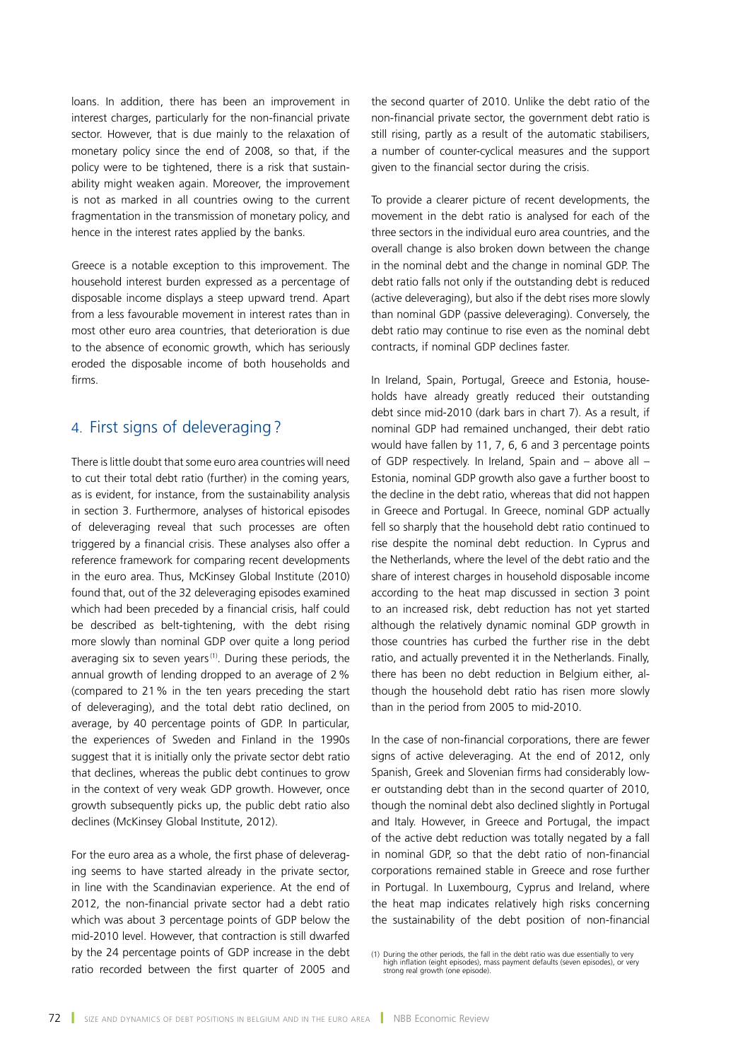loans. In addition, there has been an improvement in interest charges, particularly for the non-financial private sector. However, that is due mainly to the relaxation of monetary policy since the end of 2008, so that, if the policy were to be tightened, there is a risk that sustainability might weaken again. Moreover, the improvement is not as marked in all countries owing to the current fragmentation in the transmission of monetary policy, and hence in the interest rates applied by the banks.

Greece is a notable exception to this improvement. The household interest burden expressed as a percentage of disposable income displays a steep upward trend. Apart from a less favourable movement in interest rates than in most other euro area countries, that deterioration is due to the absence of economic growth, which has seriously eroded the disposable income of both households and firms.

# 4. First signs of deleveraging?

There is little doubt that some euro area countries will need to cut their total debt ratio (further) in the coming years, as is evident, for instance, from the sustainability analysis in section 3. Furthermore, analyses of historical episodes of deleveraging reveal that such processes are often triggered by a financial crisis. These analyses also offer a reference framework for comparing recent developments in the euro area. Thus, McKinsey Global Institute (2010) found that, out of the 32 deleveraging episodes examined which had been preceded by a financial crisis, half could be described as belt-tightening, with the debt rising more slowly than nominal GDP over quite a long period averaging six to seven years<sup>(1)</sup>. During these periods, the annual growth of lending dropped to an average of 2% (compared to 21% in the ten years preceding the start of deleveraging), and the total debt ratio declined, on average, by 40 percentage points of GDP. In particular, the experiences of Sweden and Finland in the 1990s suggest that it is initially only the private sector debt ratio that declines, whereas the public debt continues to grow in the context of very weak GDP growth. However, once growth subsequently picks up, the public debt ratio also declines (McKinsey Global Institute, 2012).

For the euro area as a whole, the first phase of deleveraging seems to have started already in the private sector, in line with the Scandinavian experience. At the end of 2012, the non-financial private sector had a debt ratio which was about 3 percentage points of GDP below the mid-2010 level. However, that contraction is still dwarfed by the 24 percentage points of GDP increase in the debt ratio recorded between the first quarter of 2005 and the second quarter of 2010. Unlike the debt ratio of the non-financial private sector, the government debt ratio is still rising, partly as a result of the automatic stabilisers, a number of counter-cyclical measures and the support given to the financial sector during the crisis.

To provide a clearer picture of recent developments, the movement in the debt ratio is analysed for each of the three sectors in the individual euro area countries, and the overall change is also broken down between the change in the nominal debt and the change in nominal GDP. The debt ratio falls not only if the outstanding debt is reduced (active deleveraging), but also if the debt rises more slowly than nominal GDP (passive deleveraging). Conversely, the debt ratio may continue to rise even as the nominal debt contracts, if nominal GDP declines faster.

In Ireland, Spain, Portugal, Greece and Estonia, households have already greatly reduced their outstanding debt since mid-2010 (dark bars in chart 7). As a result, if nominal GDP had remained unchanged, their debt ratio would have fallen by 11, 7, 6, 6 and 3 percentage points of GDP respectively. In Ireland, Spain and – above all – Estonia, nominal GDP growth also gave a further boost to the decline in the debt ratio, whereas that did not happen in Greece and Portugal. In Greece, nominal GDP actually fell so sharply that the household debt ratio continued to rise despite the nominal debt reduction. In Cyprus and the Netherlands, where the level of the debt ratio and the share of interest charges in household disposable income according to the heat map discussed in section 3 point to an increased risk, debt reduction has not yet started although the relatively dynamic nominal GDP growth in those countries has curbed the further rise in the debt ratio, and actually prevented it in the Netherlands. Finally, there has been no debt reduction in Belgium either, although the household debt ratio has risen more slowly than in the period from 2005 to mid-2010.

In the case of non-financial corporations, there are fewer signs of active deleveraging. At the end of 2012, only Spanish, Greek and Slovenian firms had considerably lower outstanding debt than in the second quarter of 2010, though the nominal debt also declined slightly in Portugal and Italy. However, in Greece and Portugal, the impact of the active debt reduction was totally negated by a fall in nominal GDP, so that the debt ratio of non-financial corporations remained stable in Greece and rose further in Portugal. In Luxembourg, Cyprus and Ireland, where the heat map indicates relatively high risks concerning the sustainability of the debt position of non-financial

<sup>(1)</sup> During the other periods, the fall in the debt ratio was due essentially to very high inflation (eight episodes), mass payment defaults (seven episodes), or very strong real growth (one episode).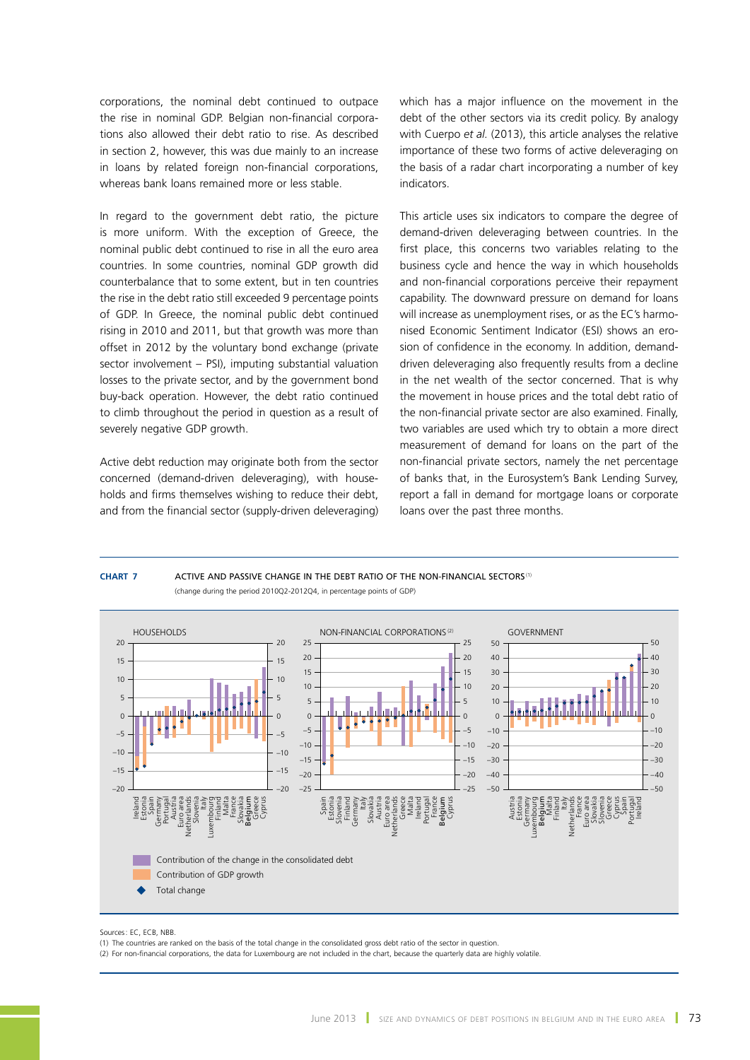corporations, the nominal debt continued to outpace the rise in nominal GDP. Belgian non-financial corporations also allowed their debt ratio to rise. As described in section 2, however, this was due mainly to an increase in loans by related foreign non-financial corporations, whereas bank loans remained more or less stable.

In regard to the government debt ratio, the picture is more uniform. With the exception of Greece, the nominal public debt continued to rise in all the euro area countries. In some countries, nominal GDP growth did counterbalance that to some extent, but in ten countries the rise in the debt ratio still exceeded 9 percentage points of GDP. In Greece, the nominal public debt continued rising in 2010 and 2011, but that growth was more than offset in 2012 by the voluntary bond exchange (private sector involvement – PSI), imputing substantial valuation losses to the private sector, and by the government bond buy-back operation. However, the debt ratio continued to climb throughout the period in question as a result of severely negative GDP growth.

Active debt reduction may originate both from the sector concerned (demand-driven deleveraging), with households and firms themselves wishing to reduce their debt, and from the financial sector (supply-driven deleveraging) which has a major influence on the movement in the debt of the other sectors via its credit policy. By analogy with Cuerpo *et al.* (2013), this article analyses the relative importance of these two forms of active deleveraging on the basis of a radar chart incorporating a number of key indicators.

This article uses six indicators to compare the degree of demand-driven deleveraging between countries. In the first place, this concerns two variables relating to the business cycle and hence the way in which households and non-financial corporations perceive their repayment capability. The downward pressure on demand for loans will increase as unemployment rises, or as the EC's harmonised Economic Sentiment Indicator (ESI) shows an erosion of confidence in the economy. In addition, demanddriven deleveraging also frequently results from a decline in the net wealth of the sector concerned. That is why the movement in house prices and the total debt ratio of the non-financial private sector are also examined. Finally, two variables are used which try to obtain a more direct measurement of demand for loans on the part of the non-financial private sectors, namely the net percentage of banks that, in the Eurosystem's Bank Lending Survey, report a fall in demand for mortgage loans or corporate loans over the past three months.

#### **CHART <b>7** ACTIVE AND PASSIVE CHANGE IN THE DEBT RATIO OF THE NON-FINANCIAL SECTORS<sup>(1)</sup> (change during the period 2010Q2-2012Q4, in percentage points of GDP)



#### Sources: EC, ECB, NBB

(1) The countries are ranked on the basis of the total change in the consolidated gross debt ratio of the sector in question.

(2) For non-financial corporations, the data for Luxembourg are not included in the chart, because the quarterly data are highly volatile.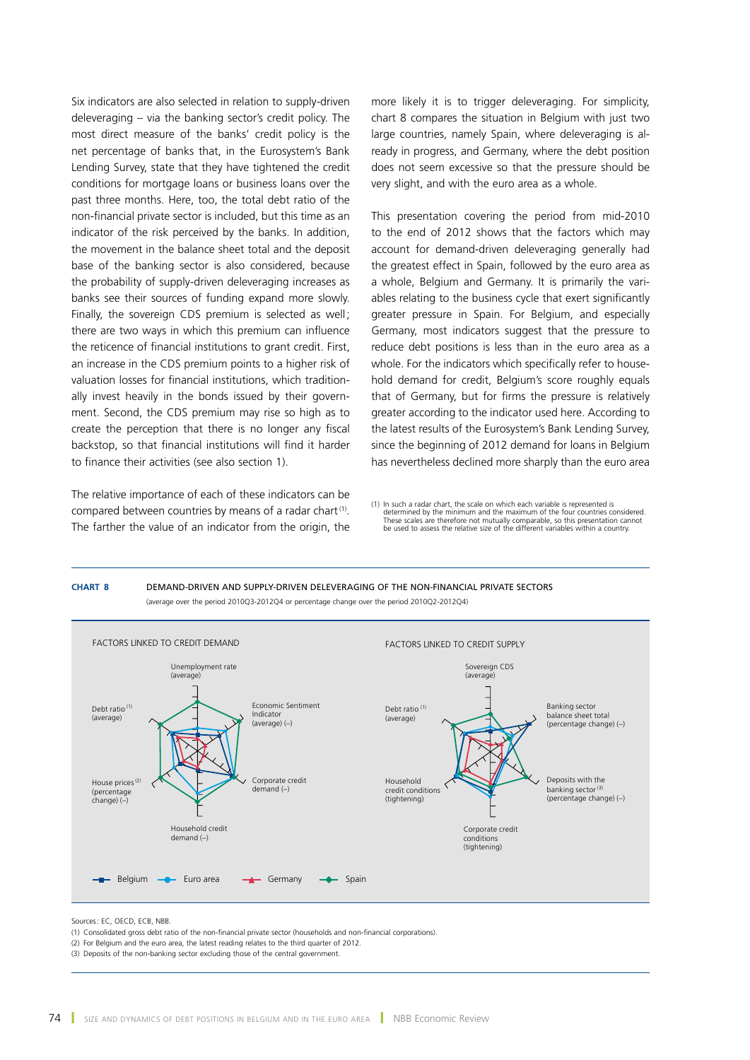Six indicators are also selected in relation to supply-driven deleveraging – via the banking sector's credit policy. The most direct measure of the banks' credit policy is the net percentage of banks that, in the Eurosystem's Bank Lending Survey, state that they have tightened the credit conditions for mortgage loans or business loans over the past three months. Here, too, the total debt ratio of the non-financial private sector is included, but this time as an indicator of the risk perceived by the banks. In addition, the movement in the balance sheet total and the deposit base of the banking sector is also considered, because the probability of supply-driven deleveraging increases as banks see their sources of funding expand more slowly. Finally, the sovereign CDS premium is selected as well: there are two ways in which this premium can influence the reticence of financial institutions to grant credit. First, an increase in the CDS premium points to a higher risk of valuation losses for financial institutions, which traditionally invest heavily in the bonds issued by their government. Second, the CDS premium may rise so high as to create the perception that there is no longer any fiscal backstop, so that financial institutions will find it harder to finance their activities (see also section 1).

The relative importance of each of these indicators can be compared between countries by means of a radar chart<sup>(1)</sup>. The farther the value of an indicator from the origin, the more likely it is to trigger deleveraging. For simplicity, chart 8 compares the situation in Belgium with just two large countries, namely Spain, where deleveraging is already in progress, and Germany, where the debt position does not seem excessive so that the pressure should be very slight, and with the euro area as a whole.

This presentation covering the period from mid-2010 to the end of 2012 shows that the factors which may account for demand-driven deleveraging generally had the greatest effect in Spain, followed by the euro area as a whole, Belgium and Germany. It is primarily the variables relating to the business cycle that exert significantly greater pressure in Spain. For Belgium, and especially Germany, most indicators suggest that the pressure to reduce debt positions is less than in the euro area as a whole. For the indicators which specifically refer to household demand for credit, Belgium's score roughly equals that of Germany, but for firms the pressure is relatively greater according to the indicator used here. According to the latest results of the Eurosystem's Bank Lending Survey, since the beginning of 2012 demand for loans in Belgium has nevertheless declined more sharply than the euro area

(1) In such a radar chart, the scale on which each variable is represented is determined by the minimum and the maximum of the four countries considered. These scales are therefore not mutually comparable, so this presentation cannot be used to assess the relative size of the different variables within a country.



Sources: EC, OECD, ECB, NBB.

- (1) Consolidated gross debt ratio of the non-financial private sector (households and non-financial corporations).
- (2) For Belgium and the euro area, the latest reading relates to the third quarter of 2012.

<sup>(3)</sup> Deposits of the non-banking sector excluding those of the central government.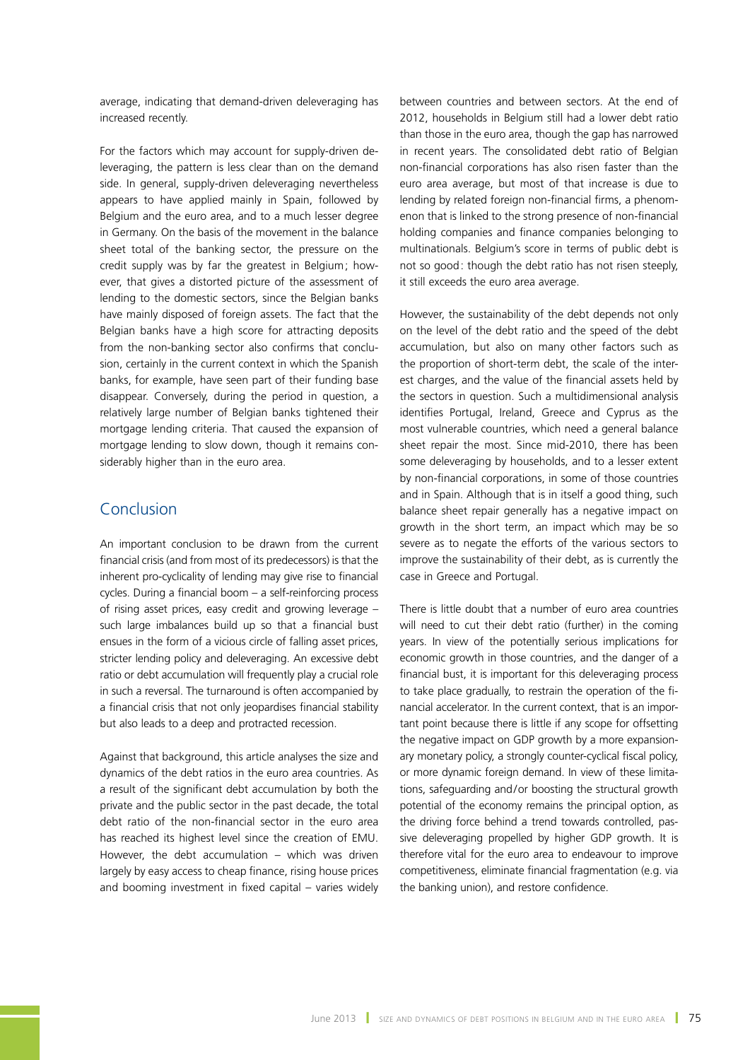average, indicating that demand-driven deleveraging has increased recently.

For the factors which may account for supply-driven deleveraging, the pattern is less clear than on the demand side. In general, supply-driven deleveraging nevertheless appears to have applied mainly in Spain, followed by Belgium and the euro area, and to a much lesser degree in Germany. On the basis of the movement in the balance sheet total of the banking sector, the pressure on the credit supply was by far the greatest in Belgium; however, that gives a distorted picture of the assessment of lending to the domestic sectors, since the Belgian banks have mainly disposed of foreign assets. The fact that the Belgian banks have a high score for attracting deposits from the non-banking sector also confirms that conclusion, certainly in the current context in which the Spanish banks, for example, have seen part of their funding base disappear. Conversely, during the period in question, a relatively large number of Belgian banks tightened their mortgage lending criteria. That caused the expansion of mortgage lending to slow down, though it remains considerably higher than in the euro area.

# Conclusion

An important conclusion to be drawn from the current financial crisis (and from most of its predecessors) is that the inherent pro-cyclicality of lending may give rise to financial cycles. During a financial boom – a self-reinforcing process of rising asset prices, easy credit and growing leverage – such large imbalances build up so that a financial bust ensues in the form of a vicious circle of falling asset prices, stricter lending policy and deleveraging. An excessive debt ratio or debt accumulation will frequently play a crucial role in such a reversal. The turnaround is often accompanied by a financial crisis that not only jeopardises financial stability but also leads to a deep and protracted recession.

Against that background, this article analyses the size and dynamics of the debt ratios in the euro area countries. As a result of the significant debt accumulation by both the private and the public sector in the past decade, the total debt ratio of the non-financial sector in the euro area has reached its highest level since the creation of EMU. However, the debt accumulation – which was driven largely by easy access to cheap finance, rising house prices and booming investment in fixed capital – varies widely

between countries and between sectors. At the end of 2012, households in Belgium still had a lower debt ratio than those in the euro area, though the gap has narrowed in recent years. The consolidated debt ratio of Belgian non-financial corporations has also risen faster than the euro area average, but most of that increase is due to lending by related foreign non-financial firms, a phenomenon that is linked to the strong presence of non-financial holding companies and finance companies belonging to multinationals. Belgium's score in terms of public debt is not so good: though the debt ratio has not risen steeply, it still exceeds the euro area average.

However, the sustainability of the debt depends not only on the level of the debt ratio and the speed of the debt accumulation, but also on many other factors such as the proportion of short-term debt, the scale of the interest charges, and the value of the financial assets held by the sectors in question. Such a multidimensional analysis identifies Portugal, Ireland, Greece and Cyprus as the most vulnerable countries, which need a general balance sheet repair the most. Since mid-2010, there has been some deleveraging by households, and to a lesser extent by non-financial corporations, in some of those countries and in Spain. Although that is in itself a good thing, such balance sheet repair generally has a negative impact on growth in the short term, an impact which may be so severe as to negate the efforts of the various sectors to improve the sustainability of their debt, as is currently the case in Greece and Portugal.

There is little doubt that a number of euro area countries will need to cut their debt ratio (further) in the coming years. In view of the potentially serious implications for economic growth in those countries, and the danger of a financial bust, it is important for this deleveraging process to take place gradually, to restrain the operation of the financial accelerator. In the current context, that is an important point because there is little if any scope for offsetting the negative impact on GDP growth by a more expansionary monetary policy, a strongly counter-cyclical fiscal policy, or more dynamic foreign demand. In view of these limitations, safeguarding and/or boosting the structural growth potential of the economy remains the principal option, as the driving force behind a trend towards controlled, passive deleveraging propelled by higher GDP growth. It is therefore vital for the euro area to endeavour to improve competitiveness, eliminate financial fragmentation (e.g. via the banking union), and restore confidence.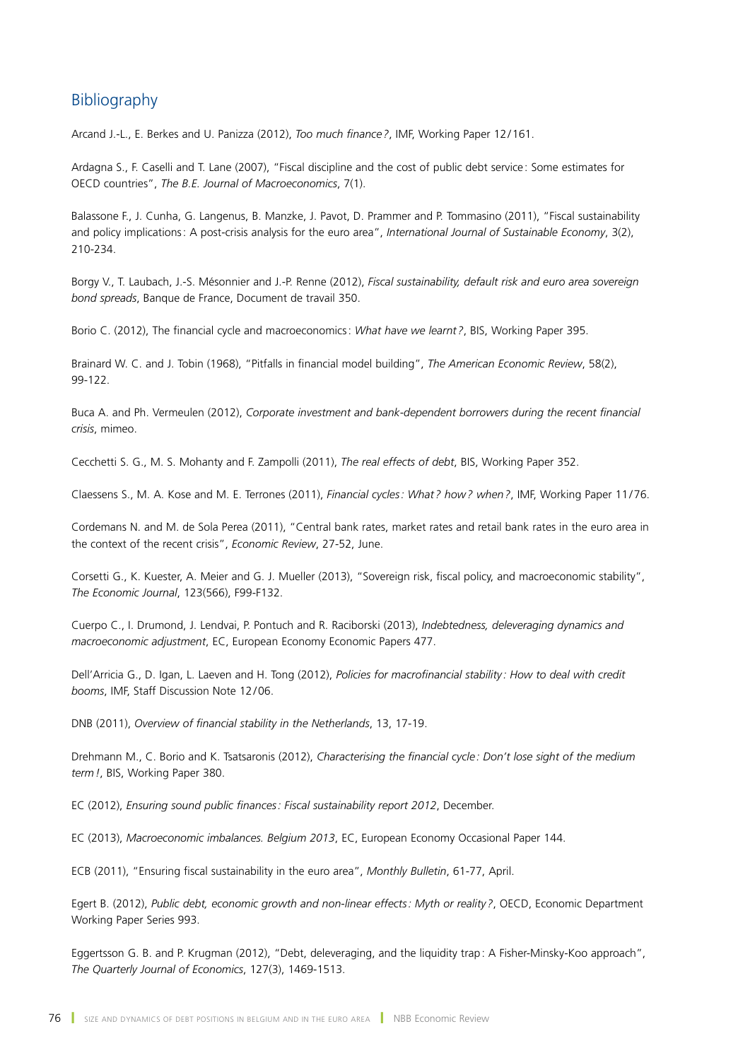# Bibliography

Arcand J.-L., E. Berkes and U. Panizza (2012), *Too much finance?*, IMF, Working Paper 12/161.

Ardagna S., F. Caselli and T. Lane (2007), "Fiscal discipline and the cost of public debt service: Some estimates for OECD countries", *The B.E. Journal of Macroeconomics*, 7(1).

Balassone F., J. Cunha, G. Langenus, B. Manzke, J. Pavot, D. Prammer and P. Tommasino (2011), "Fiscal sustainability and policy implications: A post-crisis analysis for the euro area", *International Journal of Sustainable Economy*, 3(2), 210-234.

Borgy V., T. Laubach, J.-S. Mésonnier and J.-P. Renne (2012), *Fiscal sustainability, default risk and euro area sovereign bond spreads*, Banque de France, Document de travail 350.

Borio C. (2012), The financial cycle and macroeconomics: *What have we learnt?*, BIS, Working Paper 395.

Brainard W. C. and J. Tobin (1968), "Pitfalls in financial model building", *The American Economic Review*, 58(2), 99-122.

Buca A. and Ph. Vermeulen (2012), *Corporate investment and bank-dependent borrowers during the recent financial crisis*, mimeo.

Cecchetti S. G., M. S. Mohanty and F. Zampolli (2011), *The real effects of debt*, BIS, Working Paper 352.

Claessens S., M. A. Kose and M. E. Terrones (2011), *Financial cycles: What ? how? when?*, IMF, Working Paper 11/76.

Cordemans N. and M. de Sola Perea (2011), "Central bank rates, market rates and retail bank rates in the euro area in the context of the recent crisis", *Economic Review*, 27-52, June.

Corsetti G., K. Kuester, A. Meier and G. J. Mueller (2013), "Sovereign risk, fiscal policy, and macroeconomic stability", *The Economic Journal*, 123(566), F99-F132.

Cuerpo C., I. Drumond, J. Lendvai, P. Pontuch and R. Raciborski (2013), *Indebtedness, deleveraging dynamics and macroeconomic adjustment*, EC, European Economy Economic Papers 477.

Dell'Arricia G., D. Igan, L. Laeven and H. Tong (2012), *Policies for macrofinancial stability : How to deal with credit booms*, IMF, Staff Discussion Note 12/06.

DNB (2011), *Overview of financial stability in the Netherlands*, 13, 17-19.

Drehmann M., C. Borio and K. Tsatsaronis (2012), *Characterising the financial cycle: Don't lose sight of the medium term!*, BIS, Working Paper 380.

EC (2012), *Ensuring sound public finances: Fiscal sustainability report 2012*, December.

EC (2013), *Macroeconomic imbalances. Belgium 2013*, EC, European Economy Occasional Paper 144.

ECB (2011), "Ensuring fiscal sustainability in the euro area", *Monthly Bulletin*, 61-77, April.

Egert B. (2012), *Public debt, economic growth and non-linear effects: Myth or reality?*, OECD, Economic Department Working Paper Series 993.

Eggertsson G. B. and P. Krugman (2012), "Debt, deleveraging, and the liquidity trap: A Fisher-Minsky-Koo approach", *The Quarterly Journal of Economics*, 127(3), 1469-1513.